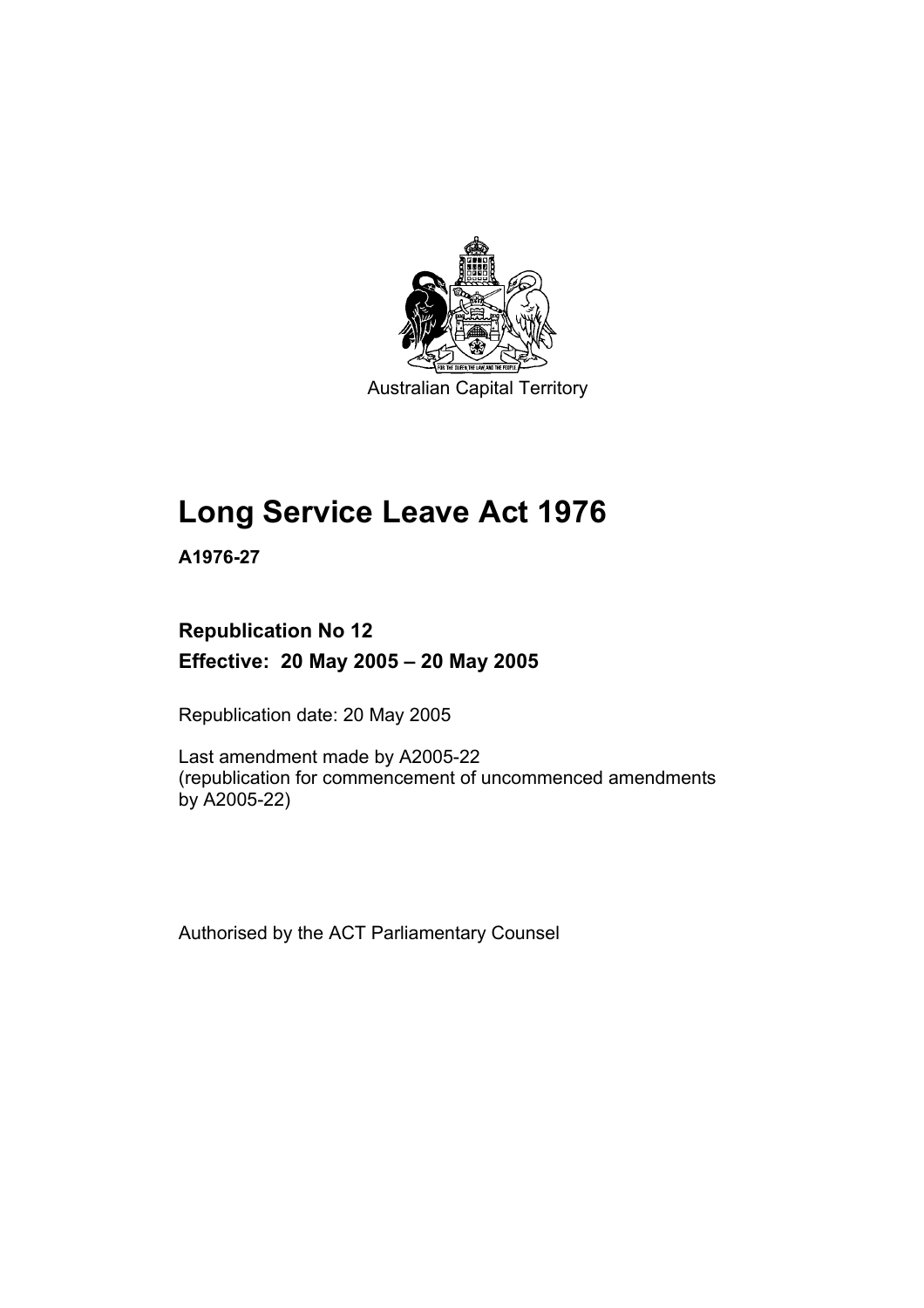

Australian Capital Territory

# **Long Service Leave Act 1976**

**A1976-27** 

## **Republication No 12 Effective: 20 May 2005 – 20 May 2005**

Republication date: 20 May 2005

Last amendment made by A2005-22 (republication for commencement of uncommenced amendments by A2005-22)

Authorised by the ACT Parliamentary Counsel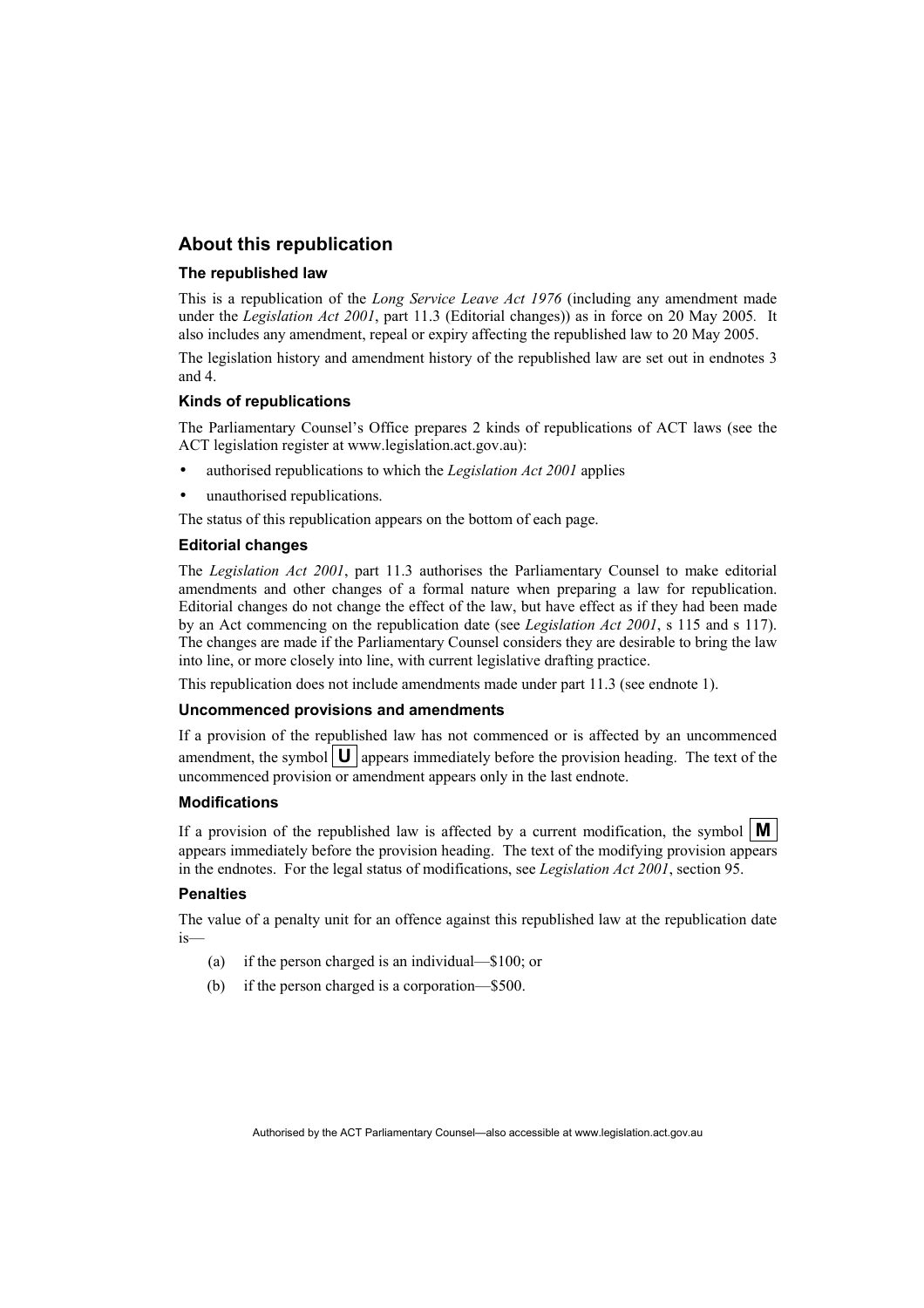## **About this republication**

#### **The republished law**

This is a republication of the *Long Service Leave Act 1976* (including any amendment made under the *Legislation Act 2001*, part 11.3 (Editorial changes)) as in force on 20 May 2005*.* It also includes any amendment, repeal or expiry affecting the republished law to 20 May 2005.

The legislation history and amendment history of the republished law are set out in endnotes 3 and 4.

#### **Kinds of republications**

The Parliamentary Counsel's Office prepares 2 kinds of republications of ACT laws (see the ACT legislation register at www.legislation.act.gov.au):

- authorised republications to which the *Legislation Act 2001* applies
- unauthorised republications.

The status of this republication appears on the bottom of each page.

#### **Editorial changes**

The *Legislation Act 2001*, part 11.3 authorises the Parliamentary Counsel to make editorial amendments and other changes of a formal nature when preparing a law for republication. Editorial changes do not change the effect of the law, but have effect as if they had been made by an Act commencing on the republication date (see *Legislation Act 2001*, s 115 and s 117). The changes are made if the Parliamentary Counsel considers they are desirable to bring the law into line, or more closely into line, with current legislative drafting practice.

This republication does not include amendments made under part 11.3 (see endnote 1).

#### **Uncommenced provisions and amendments**

If a provision of the republished law has not commenced or is affected by an uncommenced amendment, the symbol  $\mathbf{U}$  appears immediately before the provision heading. The text of the uncommenced provision or amendment appears only in the last endnote.

#### **Modifications**

If a provision of the republished law is affected by a current modification, the symbol  $\mathbf{M}$ appears immediately before the provision heading. The text of the modifying provision appears in the endnotes. For the legal status of modifications, see *Legislation Act 2001*, section 95.

#### **Penalties**

The value of a penalty unit for an offence against this republished law at the republication date is—

- (a) if the person charged is an individual—\$100; or
- (b) if the person charged is a corporation—\$500.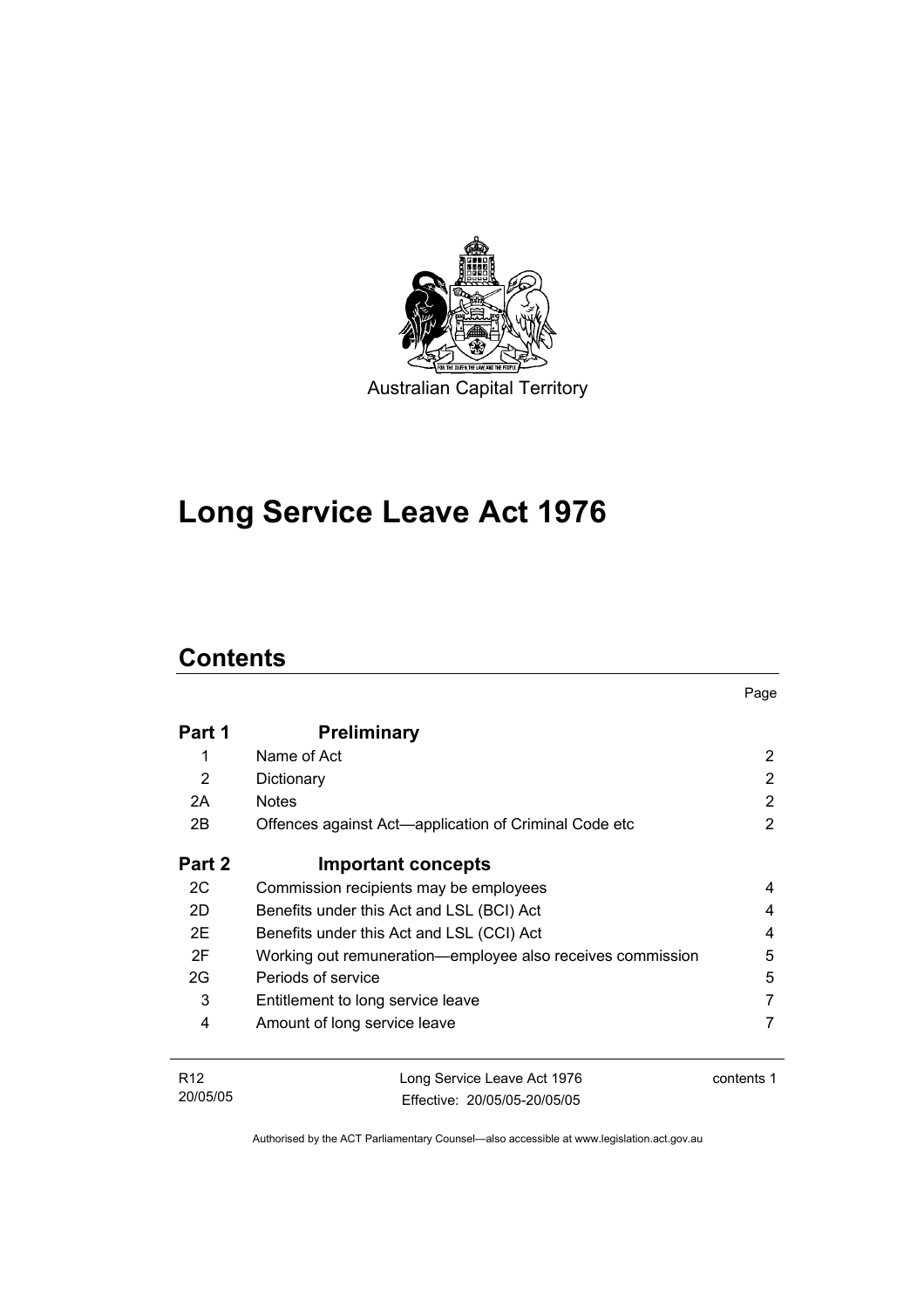

# **Long Service Leave Act 1976**

## **Contents**

20/05/05

| Part 1          | <b>Preliminary</b>                                         |                |
|-----------------|------------------------------------------------------------|----------------|
| 1               | Name of Act                                                | 2              |
| 2               | Dictionary                                                 | 2              |
| 2A              | <b>Notes</b>                                               | 2              |
| 2B              | Offences against Act-application of Criminal Code etc      | $\overline{2}$ |
| Part 2          | <b>Important concepts</b>                                  |                |
| 2C              | Commission recipients may be employees                     | 4              |
| 2D              | Benefits under this Act and LSL (BCI) Act                  | 4              |
| 2E              | Benefits under this Act and LSL (CCI) Act                  | 4              |
| 2F              | Working out remuneration—employee also receives commission | 5              |
| 2G              | Periods of service                                         | 5              |
| 3               | Entitlement to long service leave                          | 7              |
| 4               | Amount of long service leave                               | 7              |
| R <sub>12</sub> | Long Service Leave Act 1976                                | contents 1     |

Page

Authorised by the ACT Parliamentary Counsel—also accessible at www.legislation.act.gov.au

Effective: 20/05/05-20/05/05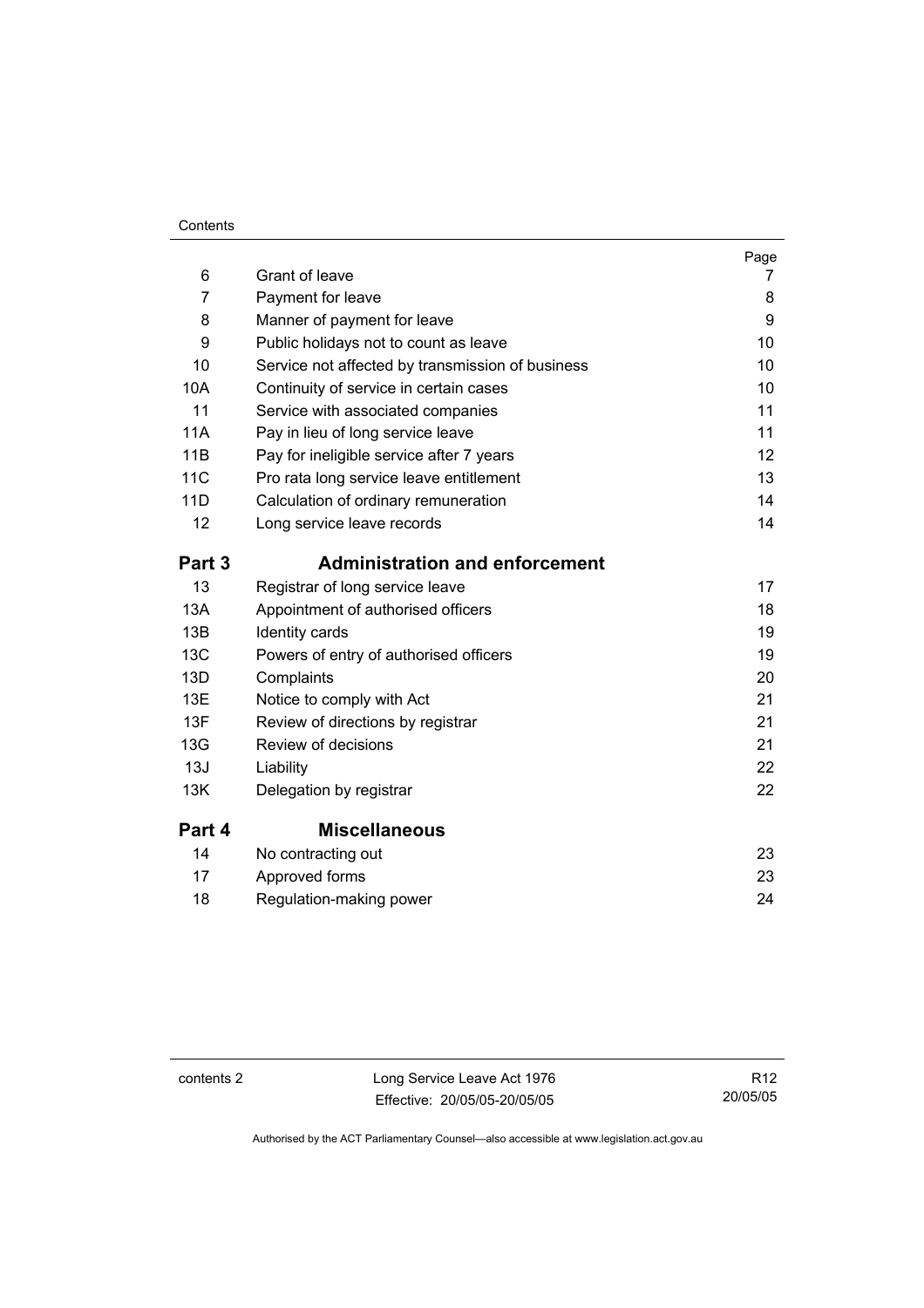#### **Contents**

| 6          | Grant of leave                                   | Page<br>7 |
|------------|--------------------------------------------------|-----------|
| 7          | Payment for leave                                | 8         |
| 8          | Manner of payment for leave                      | 9         |
| 9          | Public holidays not to count as leave            | 10        |
| 10         | Service not affected by transmission of business | 10        |
| 10A        | Continuity of service in certain cases           | 10        |
| 11         | Service with associated companies                | 11        |
| <b>11A</b> | Pay in lieu of long service leave                | 11        |
| 11B        | Pay for ineligible service after 7 years         | 12        |
| <b>11C</b> | Pro rata long service leave entitlement          | 13        |
| 11D        | Calculation of ordinary remuneration             | 14        |
| 12         | Long service leave records                       | 14        |
| Part 3     | <b>Administration and enforcement</b>            |           |
| 13         | Registrar of long service leave                  | 17        |
| 13A        | Appointment of authorised officers               | 18        |
| 13B        | Identity cards                                   | 19        |
| 13C        | Powers of entry of authorised officers           | 19        |
| 13D        | Complaints                                       | 20        |
| 13E        | Notice to comply with Act                        | 21        |
| 13F        | Review of directions by registrar                | 21        |
| 13G        | Review of decisions                              | 21        |
| 13J        | Liability                                        | 22        |
| 13K        | Delegation by registrar                          | 22        |
| Part 4     | <b>Miscellaneous</b>                             |           |
| 14         | No contracting out                               | 23        |
| 17         | Approved forms                                   | 23        |
| 18         | Regulation-making power                          | 24        |

contents 2 Long Service Leave Act 1976 Effective: 20/05/05-20/05/05

R12 20/05/05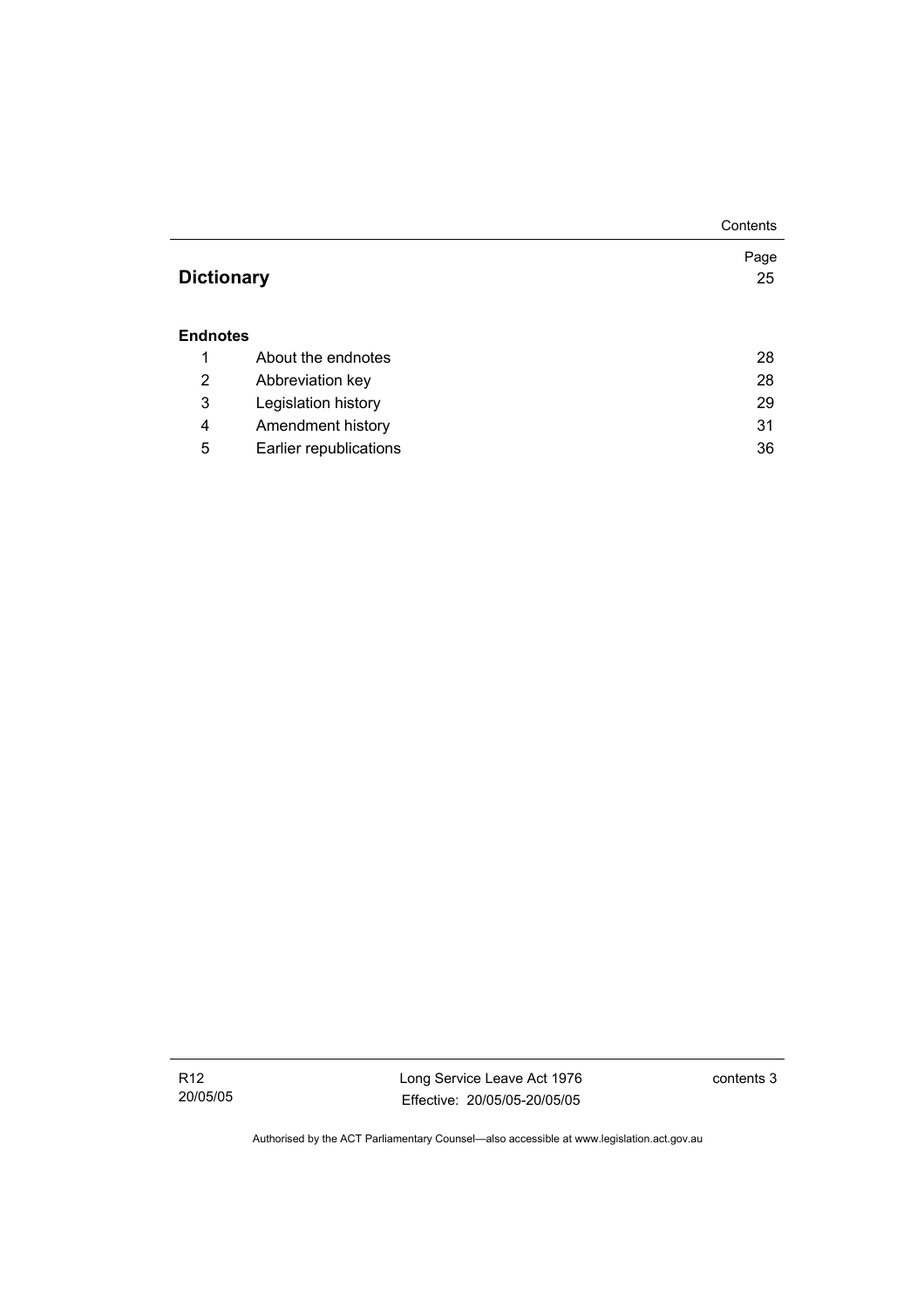|                   |                        | Contents   |
|-------------------|------------------------|------------|
| <b>Dictionary</b> |                        | Page<br>25 |
|                   |                        |            |
| <b>Endnotes</b>   |                        |            |
| 1                 | About the endnotes     | 28         |
| 2                 | Abbreviation key       | 28         |
| 3                 | Legislation history    | 29         |
| 4                 | Amendment history      | 31         |
| 5                 | Earlier republications | 36         |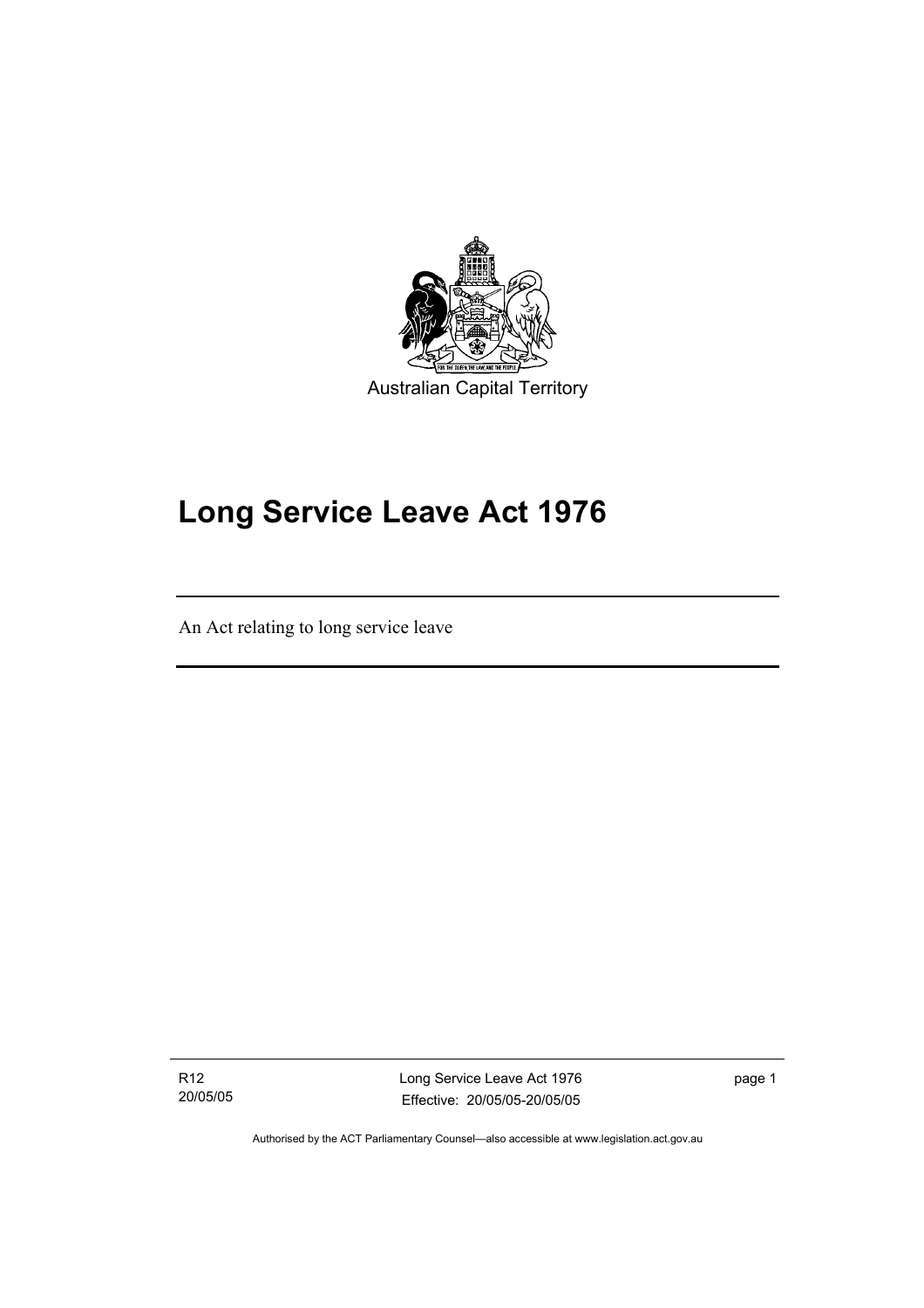

# **Long Service Leave Act 1976**

An Act relating to long service leave

R12 20/05/05

I

Long Service Leave Act 1976 Effective: 20/05/05-20/05/05

page 1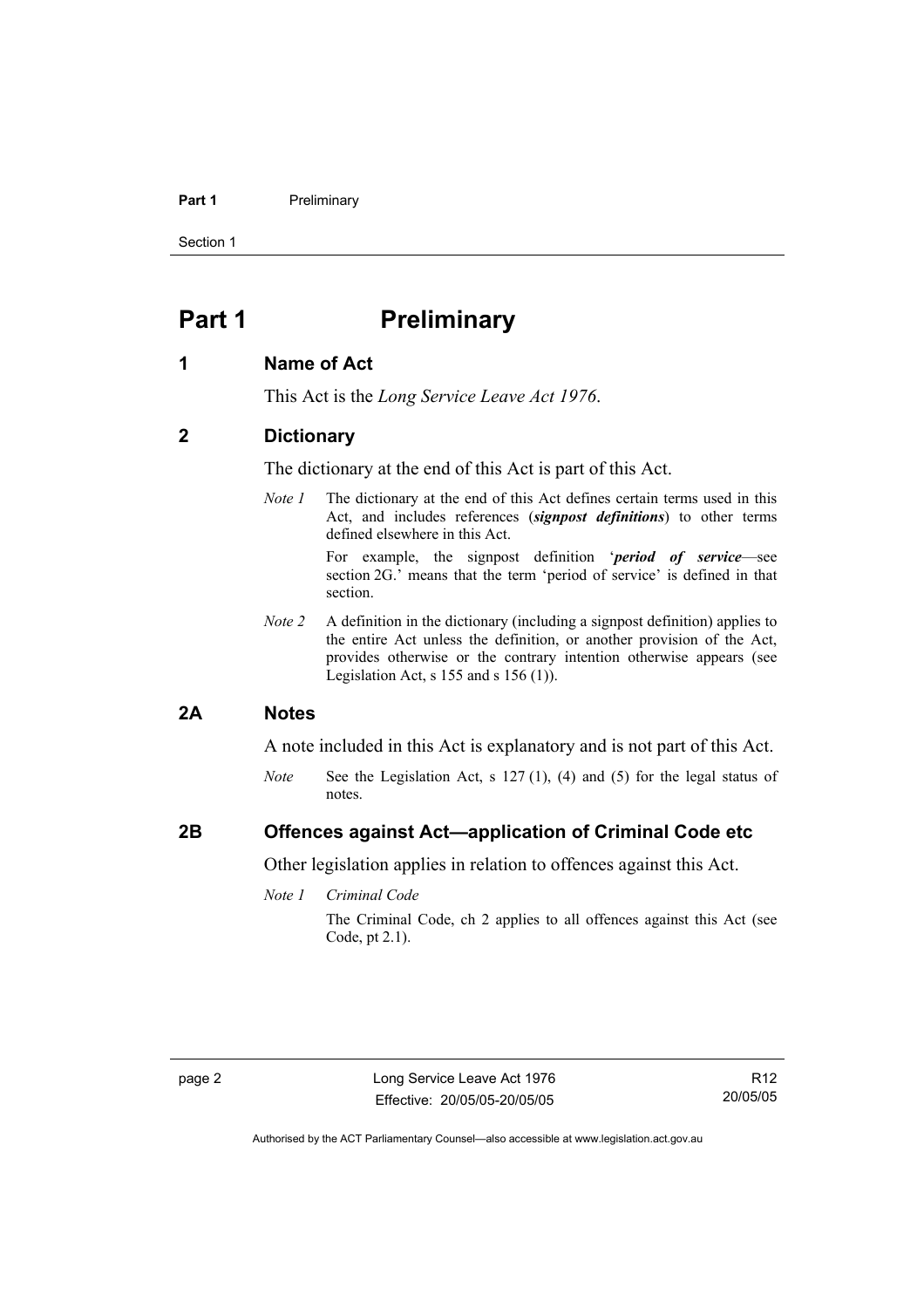#### **Part 1** Preliminary

Section 1

## **Part 1** Preliminary

## **1 Name of Act**

This Act is the *Long Service Leave Act 1976*.

## **2 Dictionary**

The dictionary at the end of this Act is part of this Act.

*Note 1* The dictionary at the end of this Act defines certain terms used in this Act, and includes references (*signpost definitions*) to other terms defined elsewhere in this Act.

> For example, the signpost definition '*period of service*—see section 2G.' means that the term 'period of service' is defined in that section.

*Note 2* A definition in the dictionary (including a signpost definition) applies to the entire Act unless the definition, or another provision of the Act, provides otherwise or the contrary intention otherwise appears (see Legislation Act, s  $155$  and s  $156$  (1)).

## **2A Notes**

A note included in this Act is explanatory and is not part of this Act.

*Note* See the Legislation Act, s 127 (1), (4) and (5) for the legal status of notes.

## **2B Offences against Act—application of Criminal Code etc**

Other legislation applies in relation to offences against this Act.

*Note 1 Criminal Code*

The Criminal Code, ch 2 applies to all offences against this Act (see Code, pt 2.1).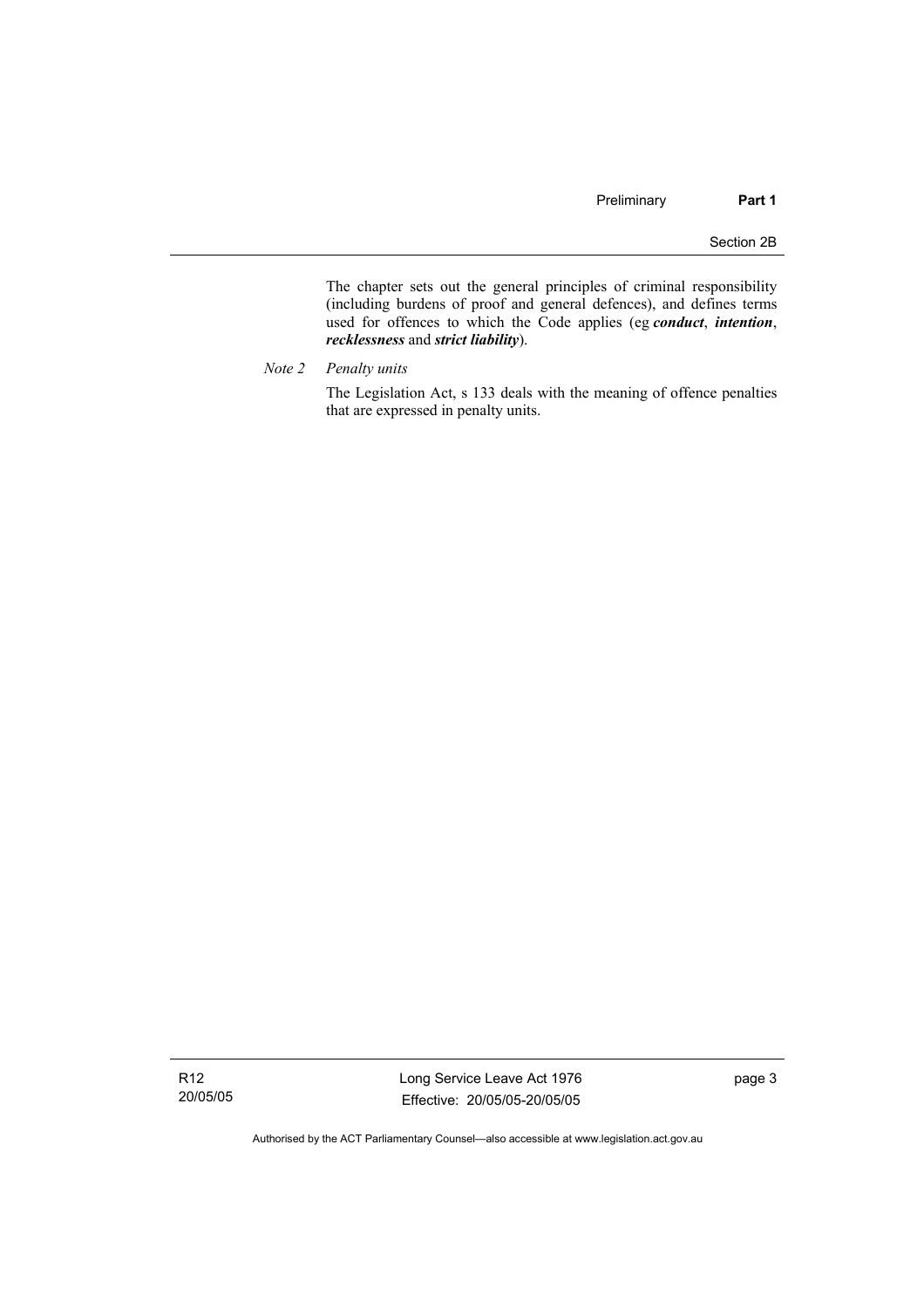The chapter sets out the general principles of criminal responsibility (including burdens of proof and general defences), and defines terms used for offences to which the Code applies (eg *conduct*, *intention*, *recklessness* and *strict liability*).

*Note 2 Penalty units* 

The Legislation Act, s 133 deals with the meaning of offence penalties that are expressed in penalty units.

Long Service Leave Act 1976 Effective: 20/05/05-20/05/05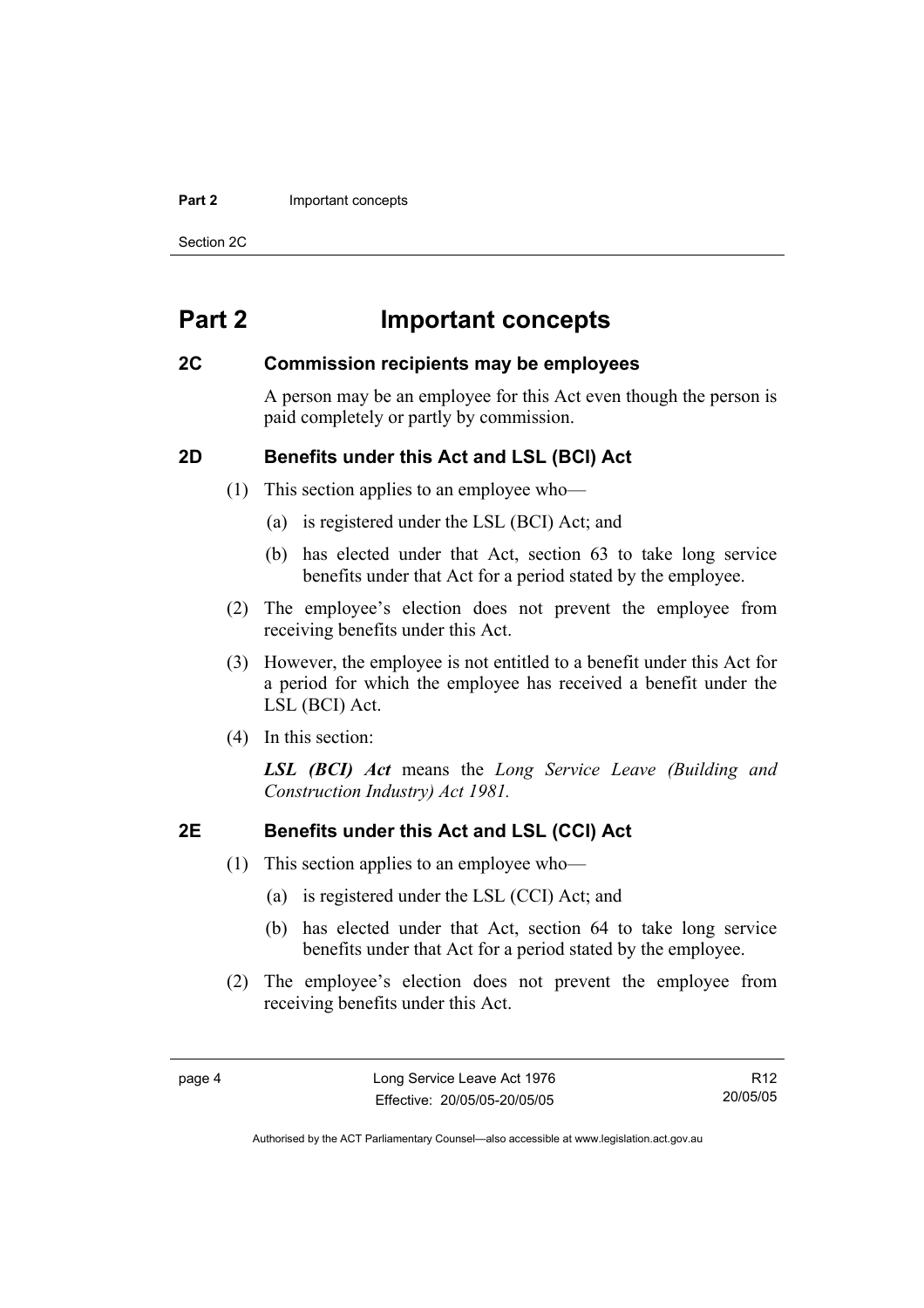#### **Part 2 Important concepts**

Section 2C

## **Part 2 Important concepts**

## **2C Commission recipients may be employees**

A person may be an employee for this Act even though the person is paid completely or partly by commission.

## **2D Benefits under this Act and LSL (BCI) Act**

- (1) This section applies to an employee who—
	- (a) is registered under the LSL (BCI) Act; and
	- (b) has elected under that Act, section 63 to take long service benefits under that Act for a period stated by the employee.
- (2) The employee's election does not prevent the employee from receiving benefits under this Act.
- (3) However, the employee is not entitled to a benefit under this Act for a period for which the employee has received a benefit under the LSL (BCI) Act.
- (4) In this section:

*LSL (BCI) Act* means the *Long Service Leave (Building and Construction Industry) Act 1981.*

## **2E Benefits under this Act and LSL (CCI) Act**

- (1) This section applies to an employee who—
	- (a) is registered under the LSL (CCI) Act; and
	- (b) has elected under that Act, section 64 to take long service benefits under that Act for a period stated by the employee.
- (2) The employee's election does not prevent the employee from receiving benefits under this Act.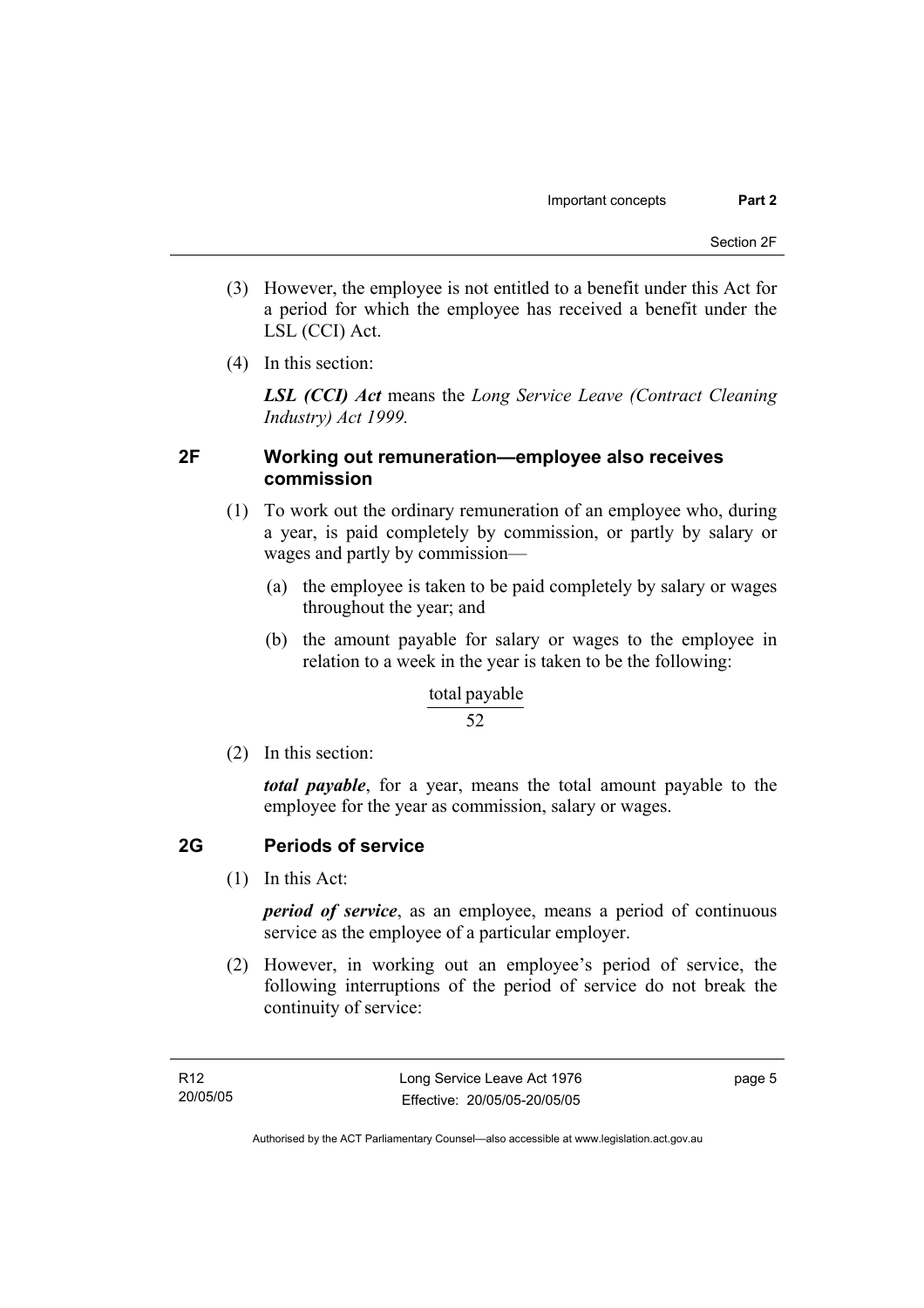- (3) However, the employee is not entitled to a benefit under this Act for a period for which the employee has received a benefit under the LSL (CCI) Act.
- (4) In this section:

*LSL (CCI) Act* means the *Long Service Leave (Contract Cleaning Industry) Act 1999.*

## **2F Working out remuneration—employee also receives commission**

- (1) To work out the ordinary remuneration of an employee who, during a year, is paid completely by commission, or partly by salary or wages and partly by commission—
	- (a) the employee is taken to be paid completely by salary or wages throughout the year; and
	- (b) the amount payable for salary or wages to the employee in relation to a week in the year is taken to be the following:

### total payable

### 52

(2) In this section:

*total payable*, for a year, means the total amount payable to the employee for the year as commission, salary or wages.

## **2G Periods of service**

(1) In this Act:

*period of service*, as an employee, means a period of continuous service as the employee of a particular employer.

 (2) However, in working out an employee's period of service, the following interruptions of the period of service do not break the continuity of service:

page 5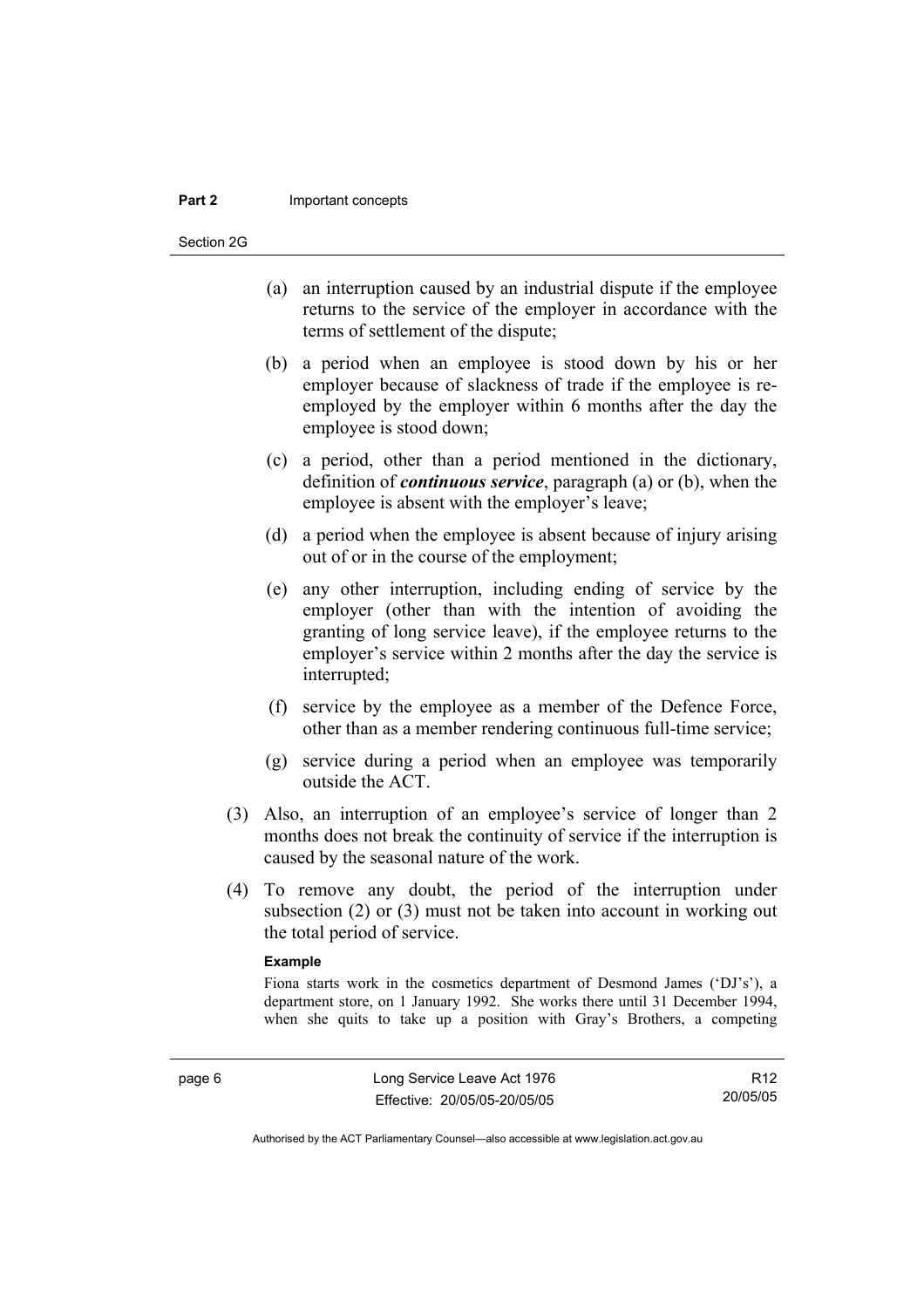#### **Part 2** Important concepts

Section 2G

- (a) an interruption caused by an industrial dispute if the employee returns to the service of the employer in accordance with the terms of settlement of the dispute;
- (b) a period when an employee is stood down by his or her employer because of slackness of trade if the employee is reemployed by the employer within 6 months after the day the employee is stood down;
- (c) a period, other than a period mentioned in the dictionary, definition of *continuous service*, paragraph (a) or (b), when the employee is absent with the employer's leave;
- (d) a period when the employee is absent because of injury arising out of or in the course of the employment;
- (e) any other interruption, including ending of service by the employer (other than with the intention of avoiding the granting of long service leave), if the employee returns to the employer's service within 2 months after the day the service is interrupted;
- (f) service by the employee as a member of the Defence Force, other than as a member rendering continuous full-time service;
- (g) service during a period when an employee was temporarily outside the ACT.
- (3) Also, an interruption of an employee's service of longer than 2 months does not break the continuity of service if the interruption is caused by the seasonal nature of the work.
- (4) To remove any doubt, the period of the interruption under subsection (2) or (3) must not be taken into account in working out the total period of service.

#### **Example**

Fiona starts work in the cosmetics department of Desmond James ('DJ's'), a department store, on 1 January 1992. She works there until 31 December 1994, when she quits to take up a position with Gray's Brothers, a competing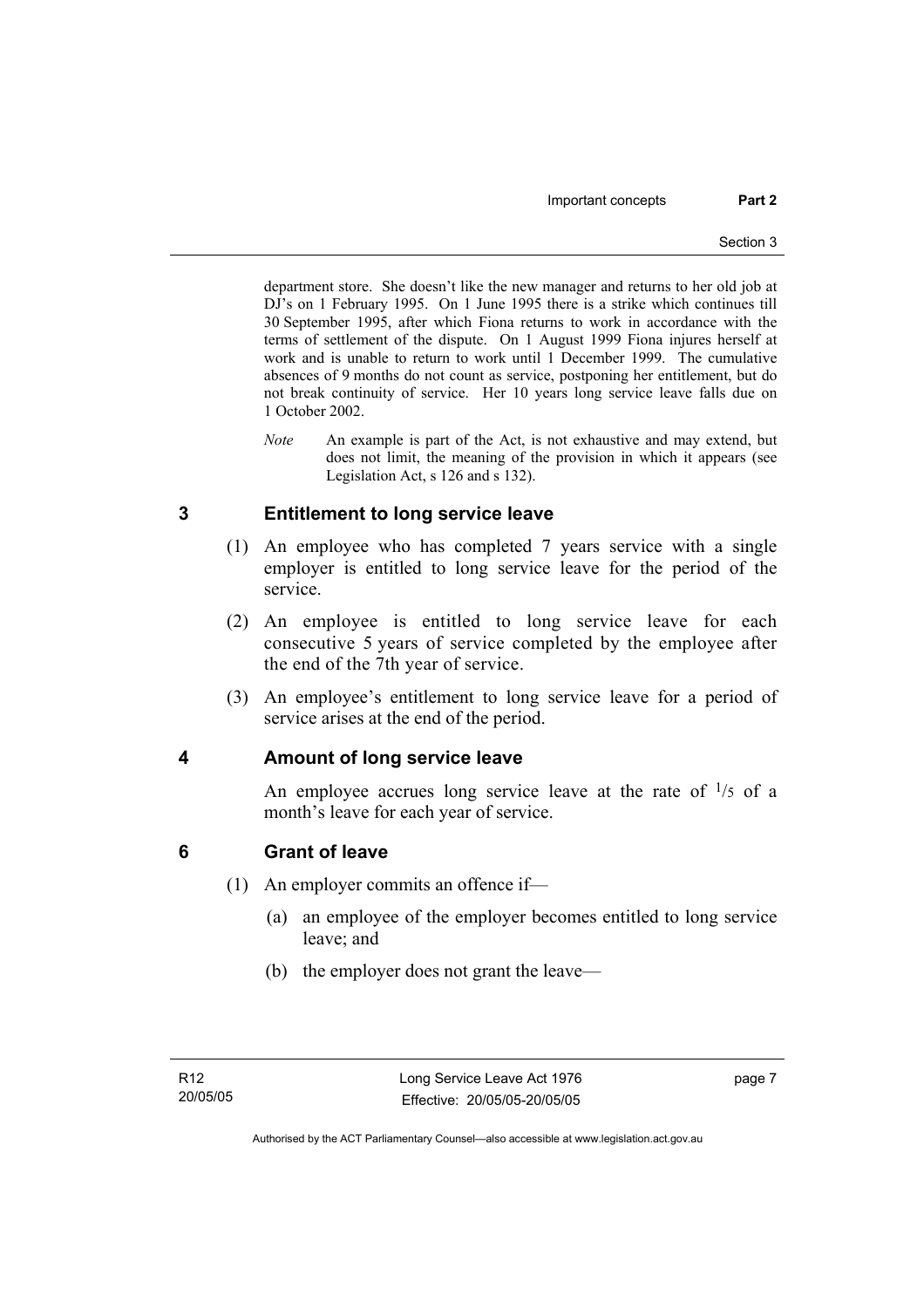department store. She doesn't like the new manager and returns to her old job at DJ's on 1 February 1995. On 1 June 1995 there is a strike which continues till 30 September 1995, after which Fiona returns to work in accordance with the terms of settlement of the dispute. On 1 August 1999 Fiona injures herself at work and is unable to return to work until 1 December 1999. The cumulative absences of 9 months do not count as service, postponing her entitlement, but do not break continuity of service. Her 10 years long service leave falls due on 1 October 2002.

*Note* An example is part of the Act, is not exhaustive and may extend, but does not limit, the meaning of the provision in which it appears (see Legislation Act, s 126 and s 132).

## **3 Entitlement to long service leave**

- (1) An employee who has completed 7 years service with a single employer is entitled to long service leave for the period of the service.
- (2) An employee is entitled to long service leave for each consecutive 5 years of service completed by the employee after the end of the 7th year of service.
- (3) An employee's entitlement to long service leave for a period of service arises at the end of the period.

## **4 Amount of long service leave**

An employee accrues long service leave at the rate of  $\frac{1}{5}$  of a month's leave for each year of service.

## **6 Grant of leave**

- (1) An employer commits an offence if—
	- (a) an employee of the employer becomes entitled to long service leave; and
	- (b) the employer does not grant the leave—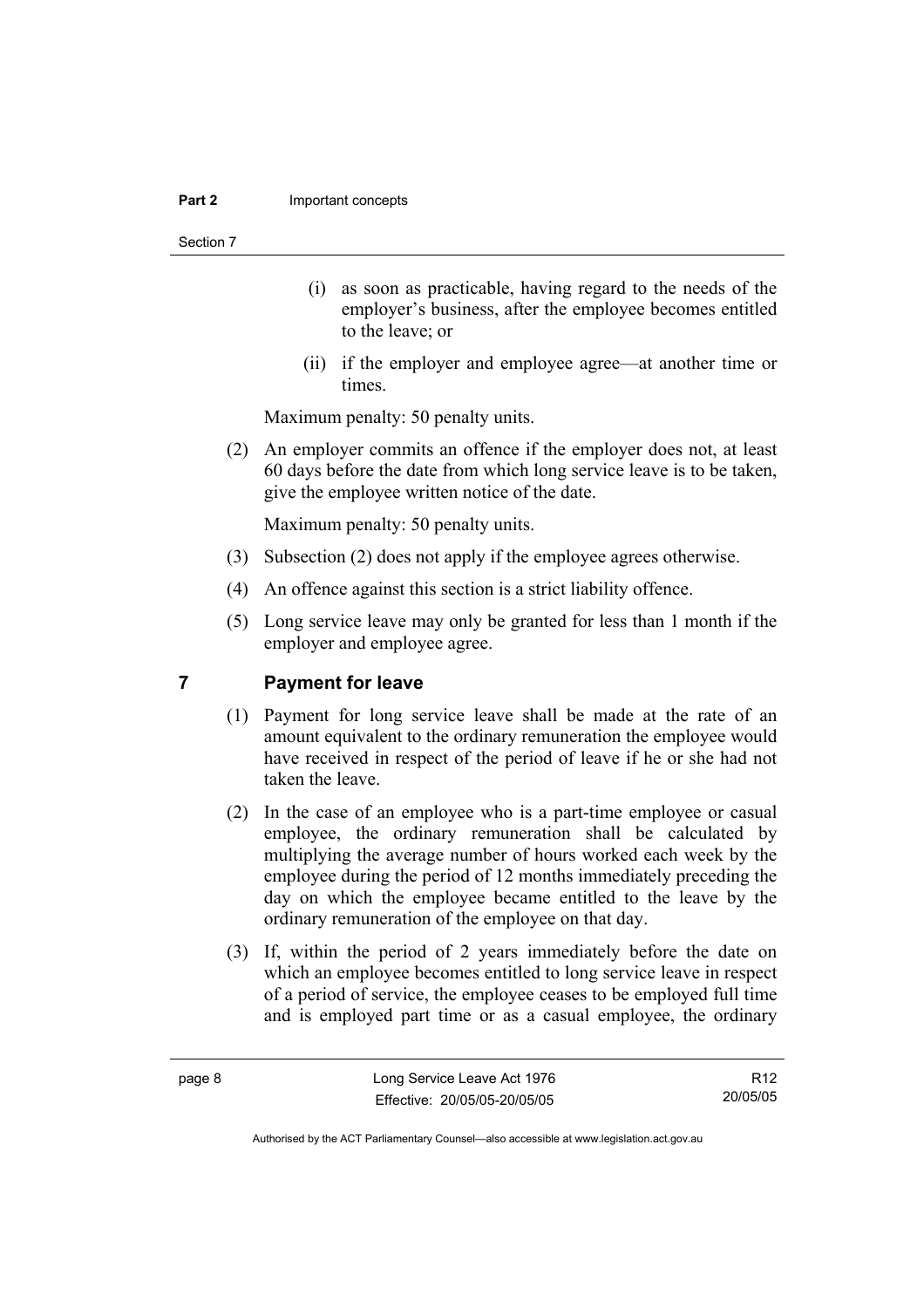#### **Part 2 Important concepts**

#### Section 7

- (i) as soon as practicable, having regard to the needs of the employer's business, after the employee becomes entitled to the leave; or
- (ii) if the employer and employee agree—at another time or times.

Maximum penalty: 50 penalty units.

 (2) An employer commits an offence if the employer does not, at least 60 days before the date from which long service leave is to be taken, give the employee written notice of the date.

Maximum penalty: 50 penalty units.

- (3) Subsection (2) does not apply if the employee agrees otherwise.
- (4) An offence against this section is a strict liability offence.
- (5) Long service leave may only be granted for less than 1 month if the employer and employee agree.

## **7 Payment for leave**

- (1) Payment for long service leave shall be made at the rate of an amount equivalent to the ordinary remuneration the employee would have received in respect of the period of leave if he or she had not taken the leave.
- (2) In the case of an employee who is a part-time employee or casual employee, the ordinary remuneration shall be calculated by multiplying the average number of hours worked each week by the employee during the period of 12 months immediately preceding the day on which the employee became entitled to the leave by the ordinary remuneration of the employee on that day.
- (3) If, within the period of 2 years immediately before the date on which an employee becomes entitled to long service leave in respect of a period of service, the employee ceases to be employed full time and is employed part time or as a casual employee, the ordinary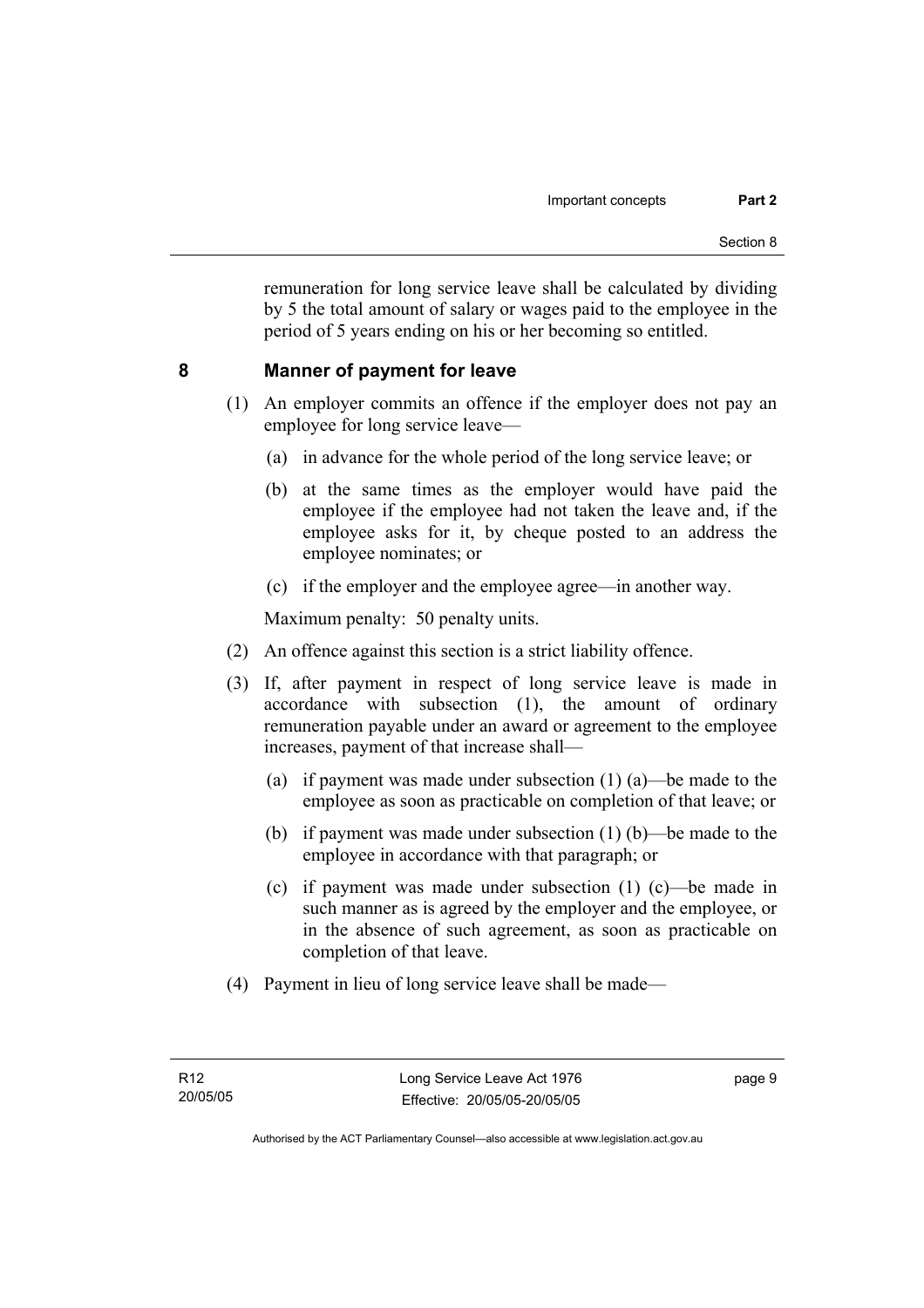remuneration for long service leave shall be calculated by dividing by 5 the total amount of salary or wages paid to the employee in the period of 5 years ending on his or her becoming so entitled.

## **8 Manner of payment for leave**

- (1) An employer commits an offence if the employer does not pay an employee for long service leave—
	- (a) in advance for the whole period of the long service leave; or
	- (b) at the same times as the employer would have paid the employee if the employee had not taken the leave and, if the employee asks for it, by cheque posted to an address the employee nominates; or
	- (c) if the employer and the employee agree—in another way.

Maximum penalty: 50 penalty units.

- (2) An offence against this section is a strict liability offence.
- (3) If, after payment in respect of long service leave is made in accordance with subsection (1), the amount of ordinary remuneration payable under an award or agreement to the employee increases, payment of that increase shall—
	- (a) if payment was made under subsection (1) (a)—be made to the employee as soon as practicable on completion of that leave; or
	- (b) if payment was made under subsection (1) (b)—be made to the employee in accordance with that paragraph; or
	- (c) if payment was made under subsection (1) (c)—be made in such manner as is agreed by the employer and the employee, or in the absence of such agreement, as soon as practicable on completion of that leave.
- (4) Payment in lieu of long service leave shall be made—

page 9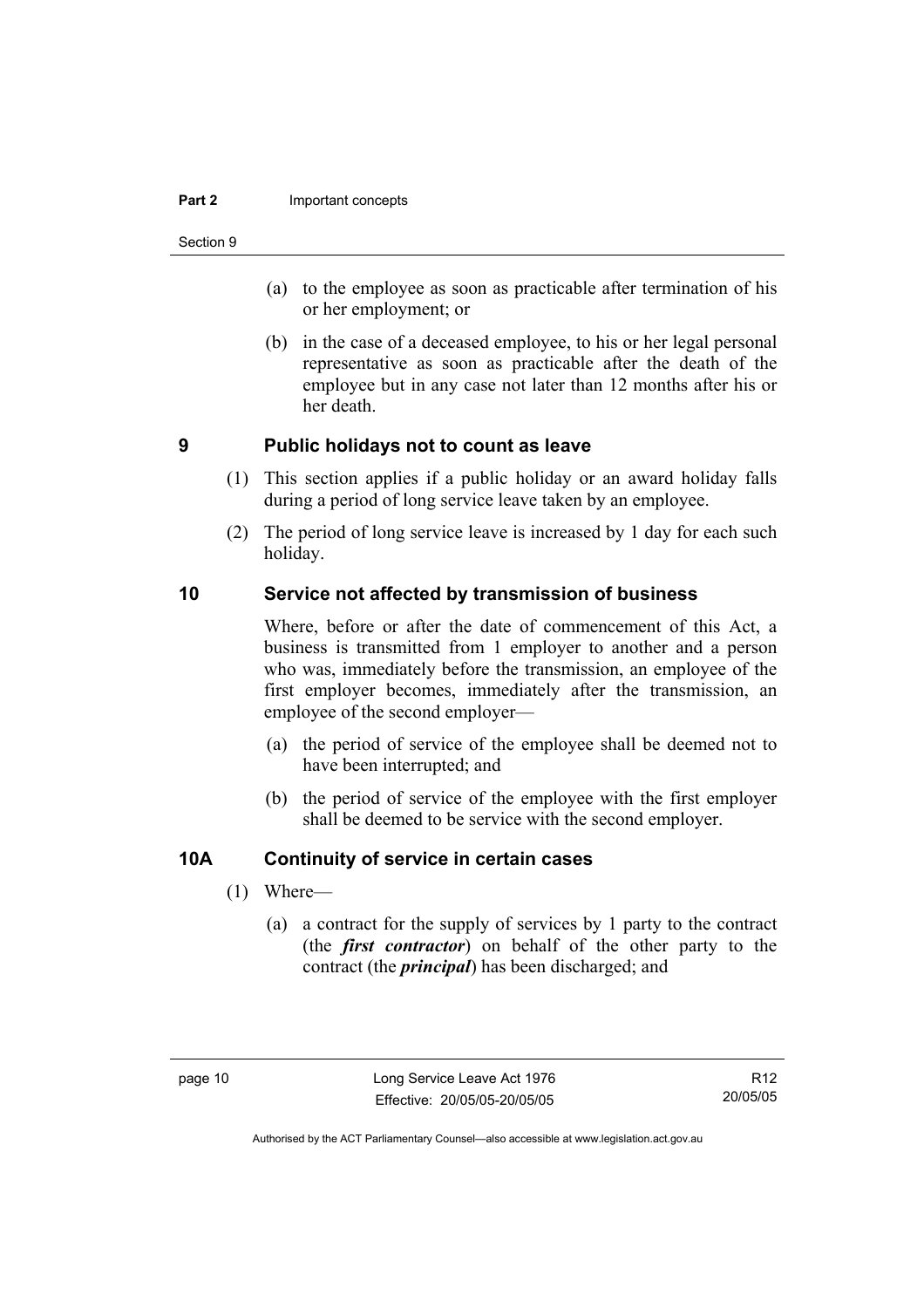#### **Part 2 Important concepts**

#### Section 9

- (a) to the employee as soon as practicable after termination of his or her employment; or
- (b) in the case of a deceased employee, to his or her legal personal representative as soon as practicable after the death of the employee but in any case not later than 12 months after his or her death.

## **9 Public holidays not to count as leave**

- (1) This section applies if a public holiday or an award holiday falls during a period of long service leave taken by an employee.
- (2) The period of long service leave is increased by 1 day for each such holiday.

## **10 Service not affected by transmission of business**

Where, before or after the date of commencement of this Act, a business is transmitted from 1 employer to another and a person who was, immediately before the transmission, an employee of the first employer becomes, immediately after the transmission, an employee of the second employer—

- (a) the period of service of the employee shall be deemed not to have been interrupted; and
- (b) the period of service of the employee with the first employer shall be deemed to be service with the second employer.

## **10A Continuity of service in certain cases**

- (1) Where—
	- (a) a contract for the supply of services by 1 party to the contract (the *first contractor*) on behalf of the other party to the contract (the *principal*) has been discharged; and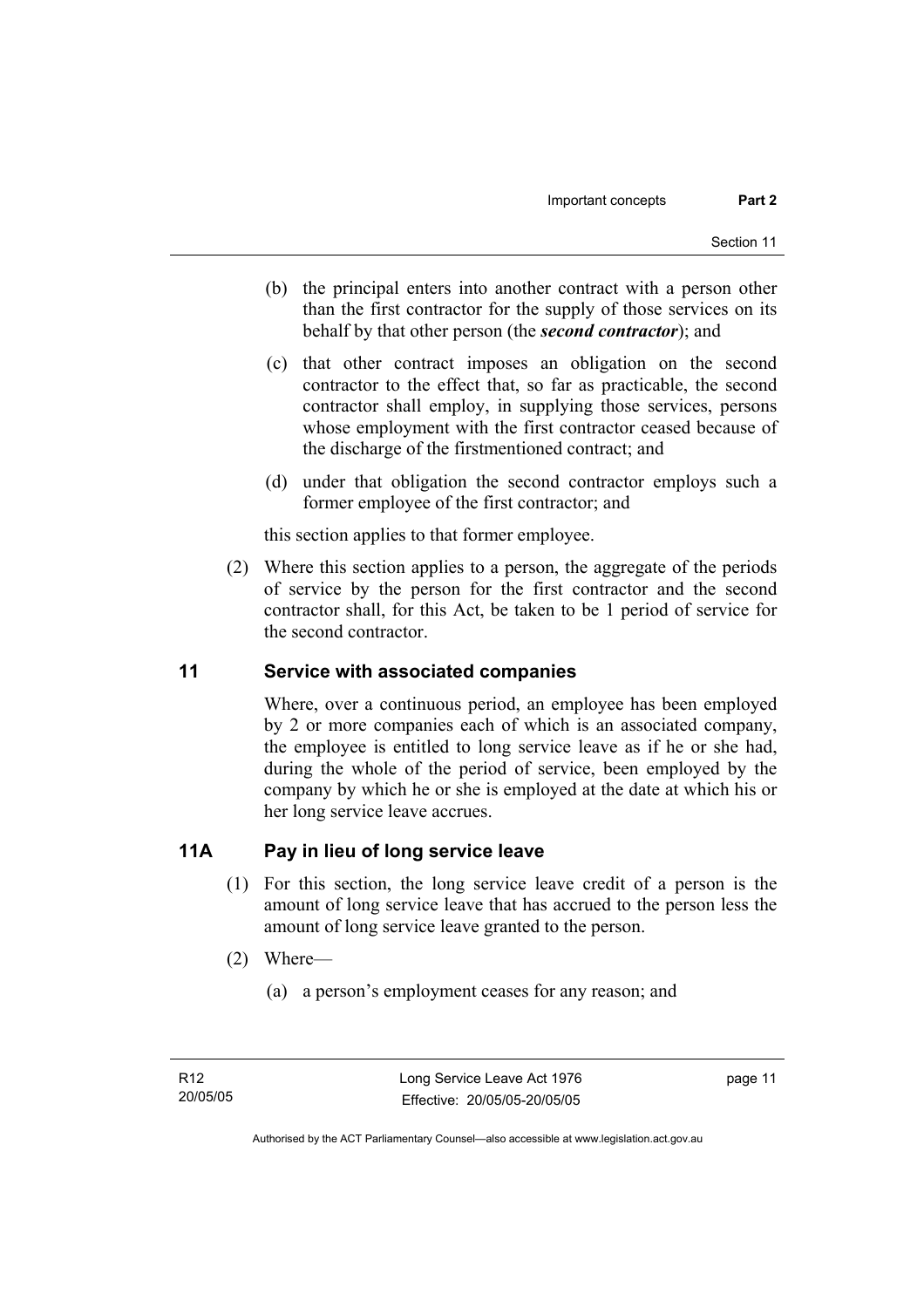- (b) the principal enters into another contract with a person other than the first contractor for the supply of those services on its behalf by that other person (the *second contractor*); and
- (c) that other contract imposes an obligation on the second contractor to the effect that, so far as practicable, the second contractor shall employ, in supplying those services, persons whose employment with the first contractor ceased because of the discharge of the firstmentioned contract; and
- (d) under that obligation the second contractor employs such a former employee of the first contractor; and

this section applies to that former employee.

 (2) Where this section applies to a person, the aggregate of the periods of service by the person for the first contractor and the second contractor shall, for this Act, be taken to be 1 period of service for the second contractor.

## **11 Service with associated companies**

Where, over a continuous period, an employee has been employed by 2 or more companies each of which is an associated company, the employee is entitled to long service leave as if he or she had, during the whole of the period of service, been employed by the company by which he or she is employed at the date at which his or her long service leave accrues.

## **11A Pay in lieu of long service leave**

- (1) For this section, the long service leave credit of a person is the amount of long service leave that has accrued to the person less the amount of long service leave granted to the person.
- (2) Where—
	- (a) a person's employment ceases for any reason; and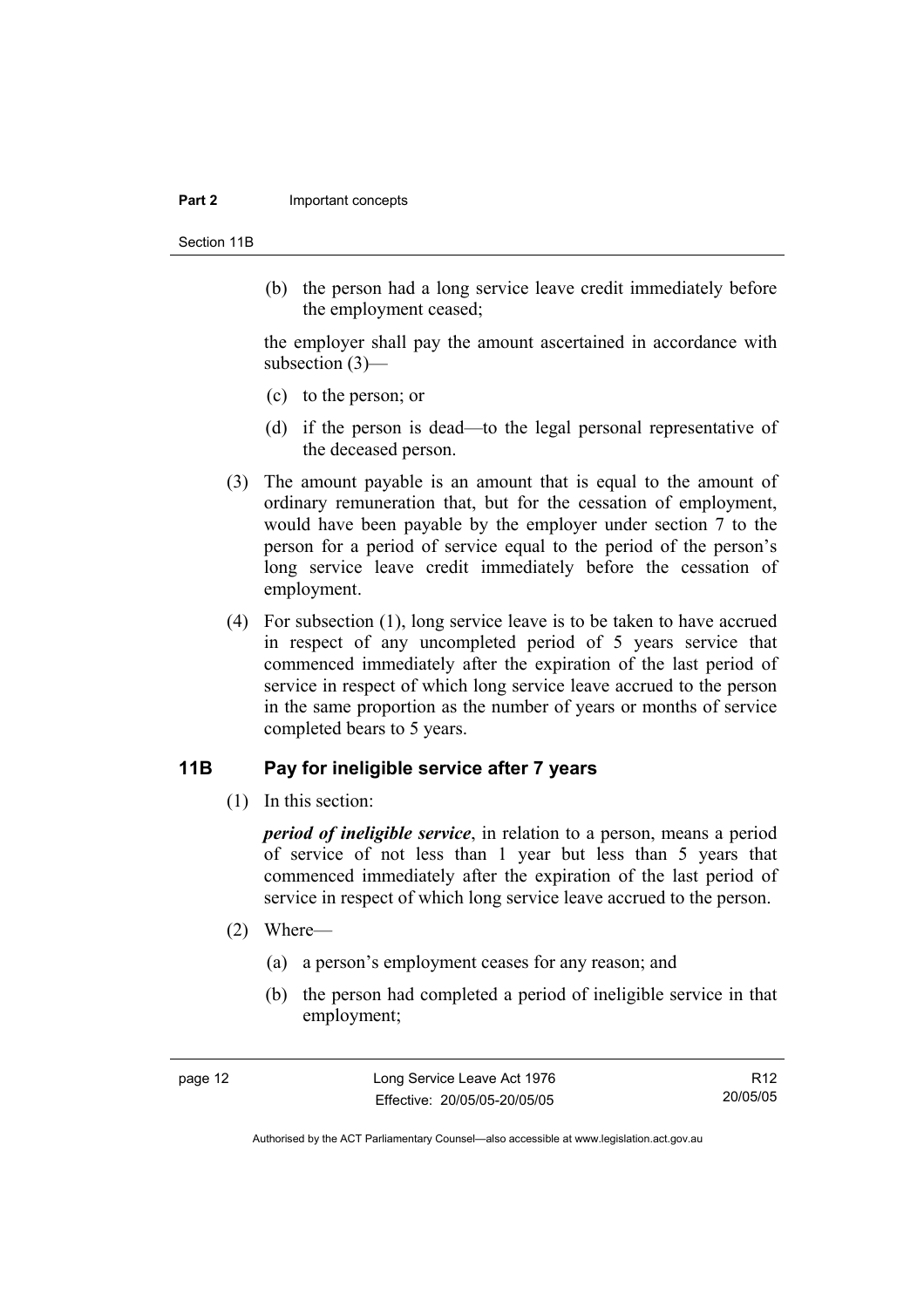#### **Part 2 Important concepts**

Section 11B

 (b) the person had a long service leave credit immediately before the employment ceased;

the employer shall pay the amount ascertained in accordance with subsection (3)—

- (c) to the person; or
- (d) if the person is dead—to the legal personal representative of the deceased person.
- (3) The amount payable is an amount that is equal to the amount of ordinary remuneration that, but for the cessation of employment, would have been payable by the employer under section 7 to the person for a period of service equal to the period of the person's long service leave credit immediately before the cessation of employment.
- (4) For subsection (1), long service leave is to be taken to have accrued in respect of any uncompleted period of 5 years service that commenced immediately after the expiration of the last period of service in respect of which long service leave accrued to the person in the same proportion as the number of years or months of service completed bears to 5 years.

## **11B Pay for ineligible service after 7 years**

(1) In this section:

*period of ineligible service*, in relation to a person, means a period of service of not less than 1 year but less than 5 years that commenced immediately after the expiration of the last period of service in respect of which long service leave accrued to the person.

- (2) Where—
	- (a) a person's employment ceases for any reason; and
	- (b) the person had completed a period of ineligible service in that employment;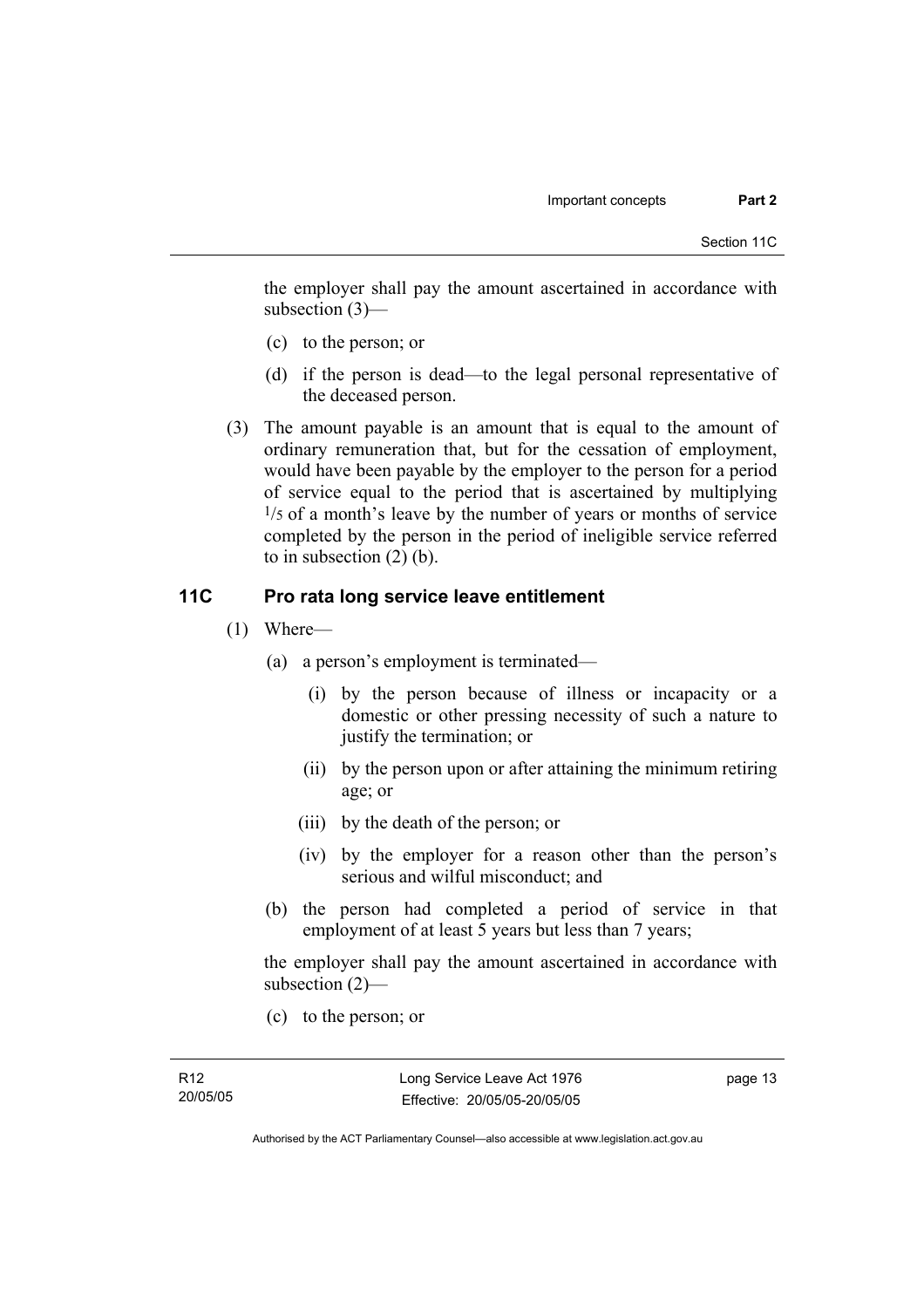the employer shall pay the amount ascertained in accordance with subsection (3)—

- (c) to the person; or
- (d) if the person is dead—to the legal personal representative of the deceased person.
- (3) The amount payable is an amount that is equal to the amount of ordinary remuneration that, but for the cessation of employment, would have been payable by the employer to the person for a period of service equal to the period that is ascertained by multiplying  $\frac{1}{5}$  of a month's leave by the number of years or months of service completed by the person in the period of ineligible service referred to in subsection (2) (b).

## **11C Pro rata long service leave entitlement**

- (1) Where—
	- (a) a person's employment is terminated—
		- (i) by the person because of illness or incapacity or a domestic or other pressing necessity of such a nature to justify the termination; or
		- (ii) by the person upon or after attaining the minimum retiring age; or
		- (iii) by the death of the person; or
		- (iv) by the employer for a reason other than the person's serious and wilful misconduct; and
	- (b) the person had completed a period of service in that employment of at least 5 years but less than 7 years;

the employer shall pay the amount ascertained in accordance with subsection (2)—

(c) to the person; or

page 13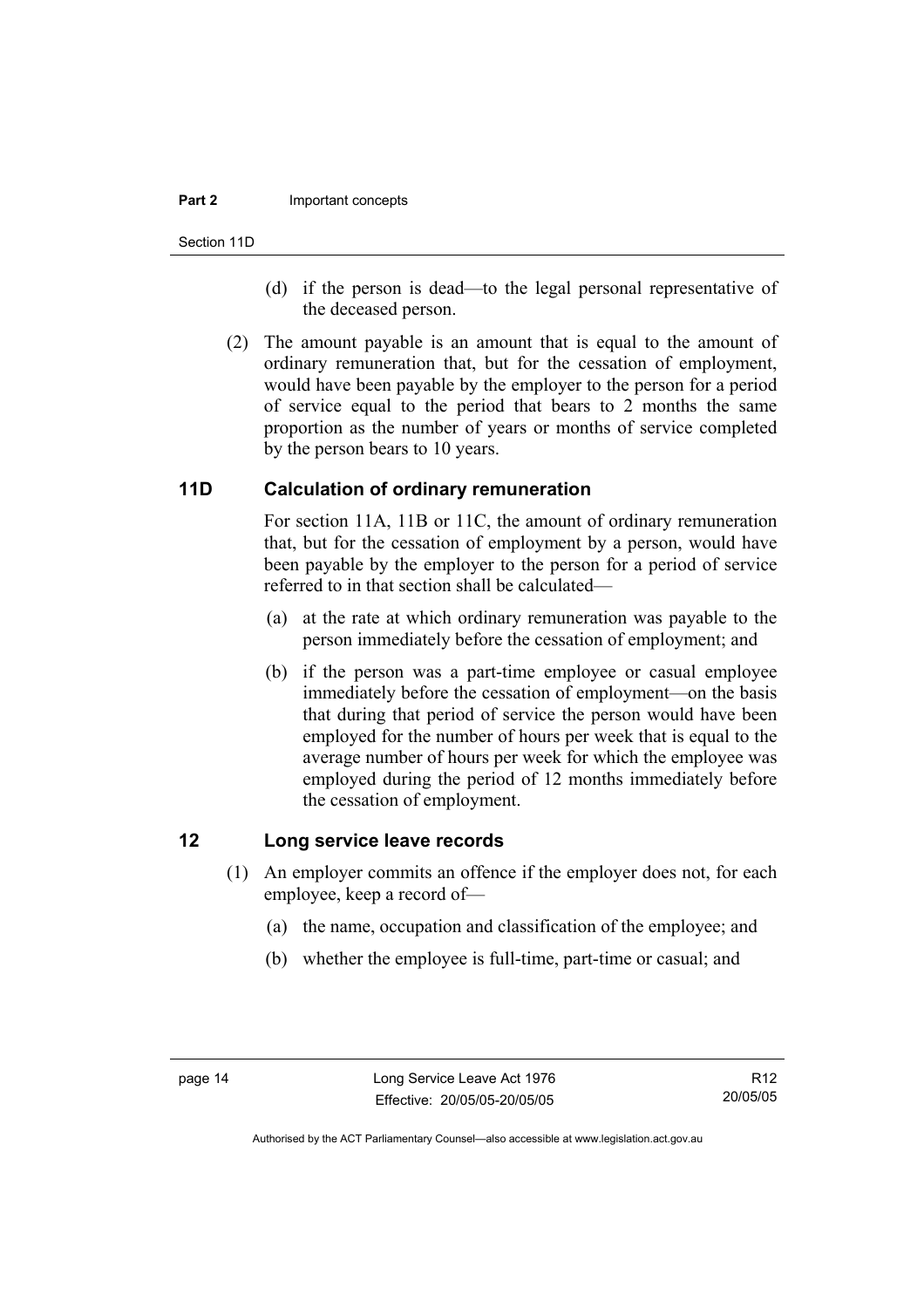#### **Part 2 Important concepts**

Section 11D

- (d) if the person is dead—to the legal personal representative of the deceased person.
- (2) The amount payable is an amount that is equal to the amount of ordinary remuneration that, but for the cessation of employment, would have been payable by the employer to the person for a period of service equal to the period that bears to 2 months the same proportion as the number of years or months of service completed by the person bears to 10 years.

## **11D Calculation of ordinary remuneration**

For section 11A, 11B or 11C, the amount of ordinary remuneration that, but for the cessation of employment by a person, would have been payable by the employer to the person for a period of service referred to in that section shall be calculated—

- (a) at the rate at which ordinary remuneration was payable to the person immediately before the cessation of employment; and
- (b) if the person was a part-time employee or casual employee immediately before the cessation of employment—on the basis that during that period of service the person would have been employed for the number of hours per week that is equal to the average number of hours per week for which the employee was employed during the period of 12 months immediately before the cessation of employment.

## **12 Long service leave records**

- (1) An employer commits an offence if the employer does not, for each employee, keep a record of—
	- (a) the name, occupation and classification of the employee; and
	- (b) whether the employee is full-time, part-time or casual; and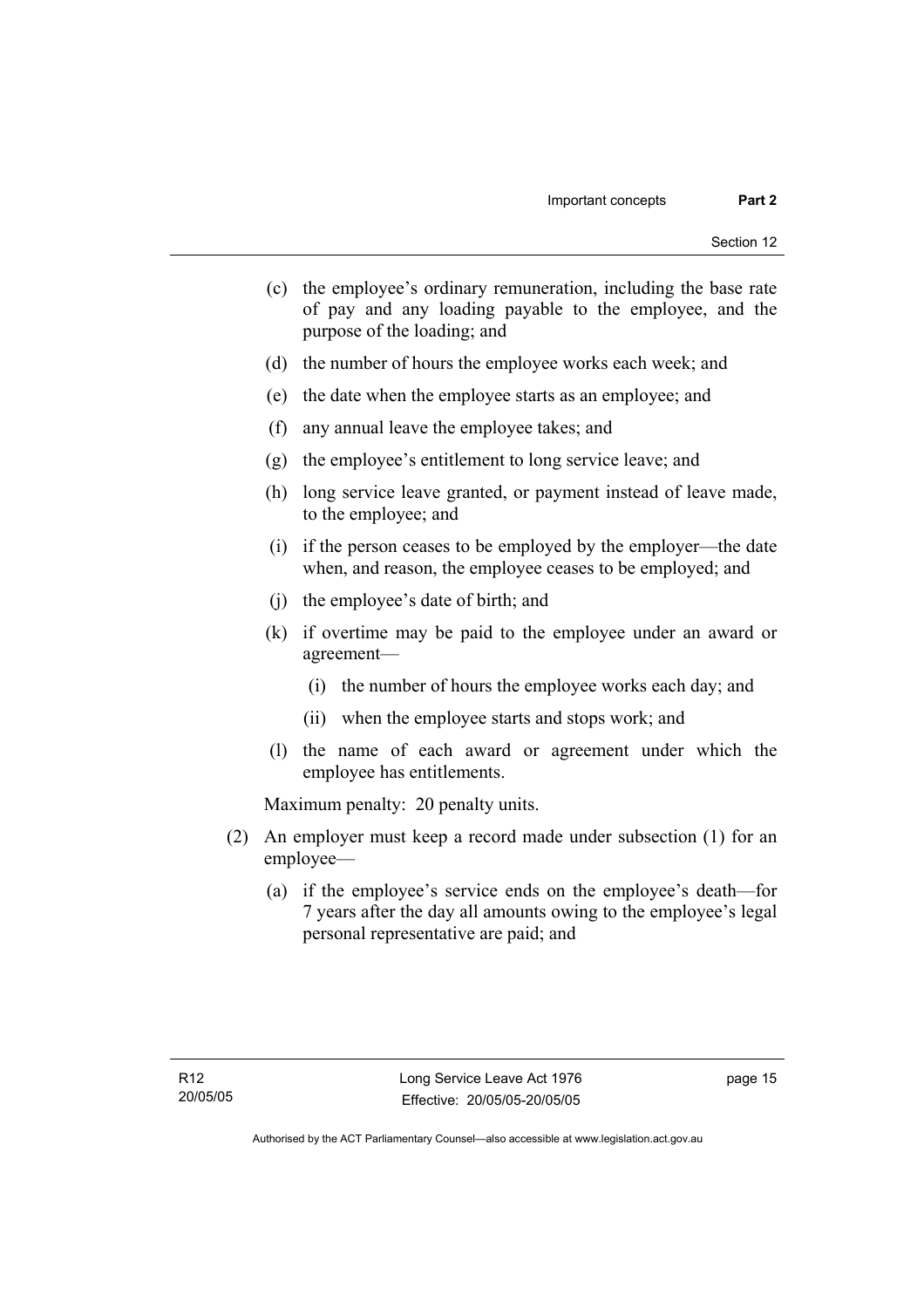- (c) the employee's ordinary remuneration, including the base rate of pay and any loading payable to the employee, and the purpose of the loading; and
- (d) the number of hours the employee works each week; and
- (e) the date when the employee starts as an employee; and
- (f) any annual leave the employee takes; and
- (g) the employee's entitlement to long service leave; and
- (h) long service leave granted, or payment instead of leave made, to the employee; and
- (i) if the person ceases to be employed by the employer—the date when, and reason, the employee ceases to be employed; and
- (j) the employee's date of birth; and
- (k) if overtime may be paid to the employee under an award or agreement—
	- (i) the number of hours the employee works each day; and
	- (ii) when the employee starts and stops work; and
- (l) the name of each award or agreement under which the employee has entitlements.

Maximum penalty: 20 penalty units.

- (2) An employer must keep a record made under subsection (1) for an employee—
	- (a) if the employee's service ends on the employee's death—for 7 years after the day all amounts owing to the employee's legal personal representative are paid; and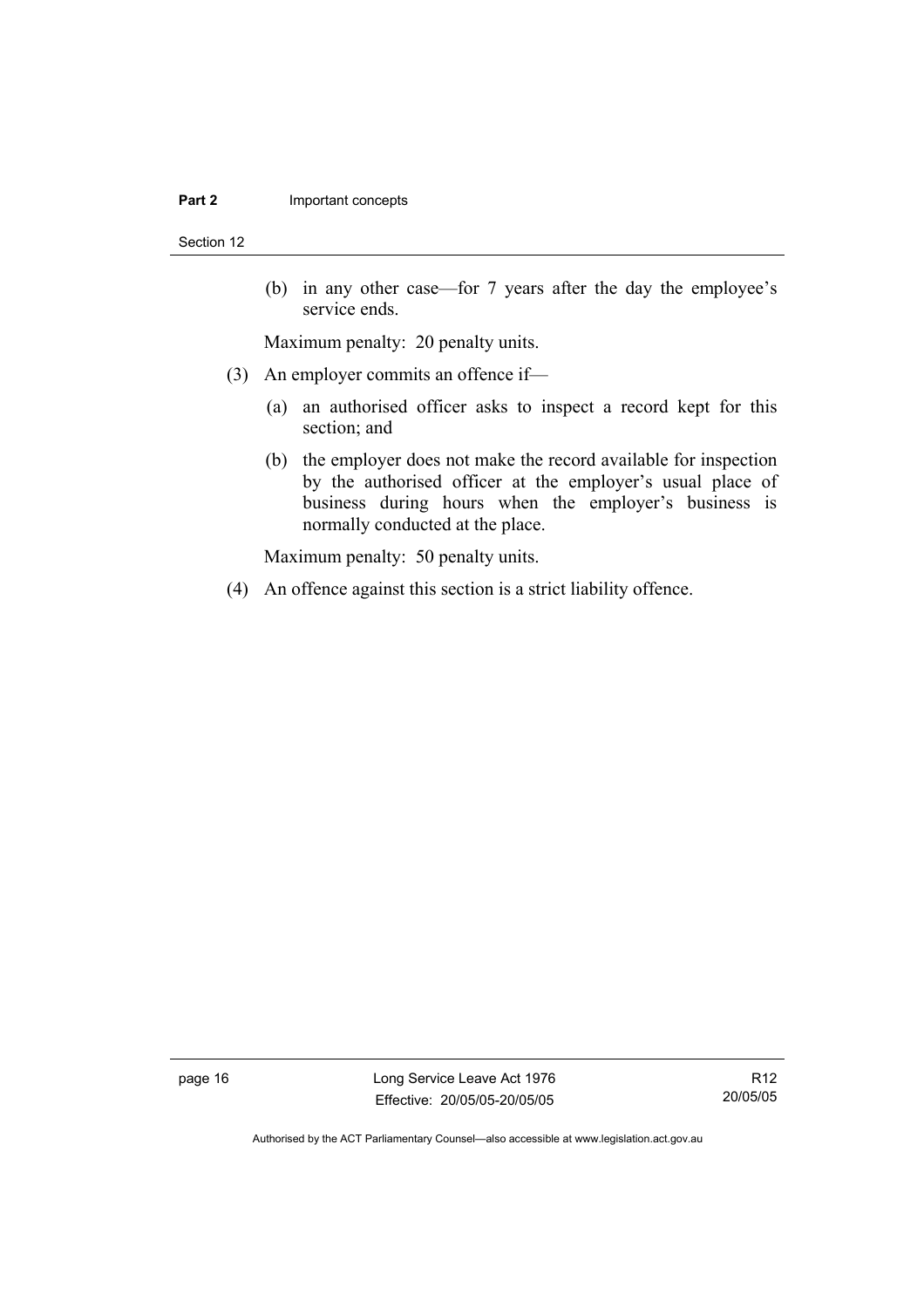#### **Part 2 Important concepts**

Section 12

 (b) in any other case—for 7 years after the day the employee's service ends.

Maximum penalty: 20 penalty units.

- (3) An employer commits an offence if—
	- (a) an authorised officer asks to inspect a record kept for this section; and
	- (b) the employer does not make the record available for inspection by the authorised officer at the employer's usual place of business during hours when the employer's business is normally conducted at the place.

Maximum penalty: 50 penalty units.

(4) An offence against this section is a strict liability offence.

page 16 Long Service Leave Act 1976 Effective: 20/05/05-20/05/05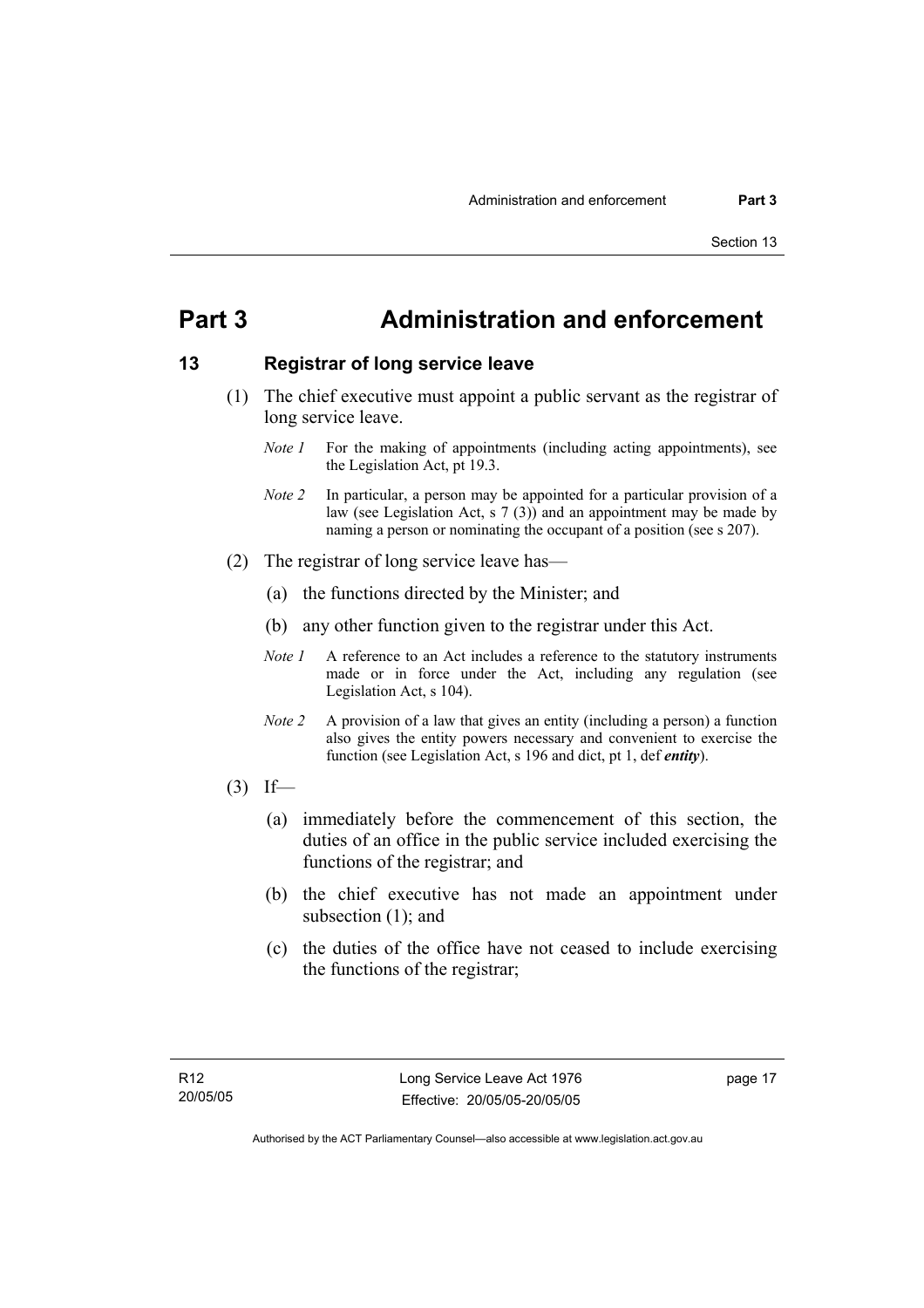## **Part 3 Administration and enforcement**

## **13 Registrar of long service leave**

- (1) The chief executive must appoint a public servant as the registrar of long service leave.
	- *Note 1* For the making of appointments (including acting appointments), see the Legislation Act, pt 19.3.
	- *Note 2* In particular, a person may be appointed for a particular provision of a law (see Legislation Act, s 7 (3)) and an appointment may be made by naming a person or nominating the occupant of a position (see s 207).
- (2) The registrar of long service leave has—
	- (a) the functions directed by the Minister; and
	- (b) any other function given to the registrar under this Act.
	- *Note 1* A reference to an Act includes a reference to the statutory instruments made or in force under the Act, including any regulation (see Legislation Act, s 104).
	- *Note 2* A provision of a law that gives an entity (including a person) a function also gives the entity powers necessary and convenient to exercise the function (see Legislation Act, s 196 and dict, pt 1, def *entity*).
- $(3)$  If—
	- (a) immediately before the commencement of this section, the duties of an office in the public service included exercising the functions of the registrar; and
	- (b) the chief executive has not made an appointment under subsection (1); and
	- (c) the duties of the office have not ceased to include exercising the functions of the registrar;

page 17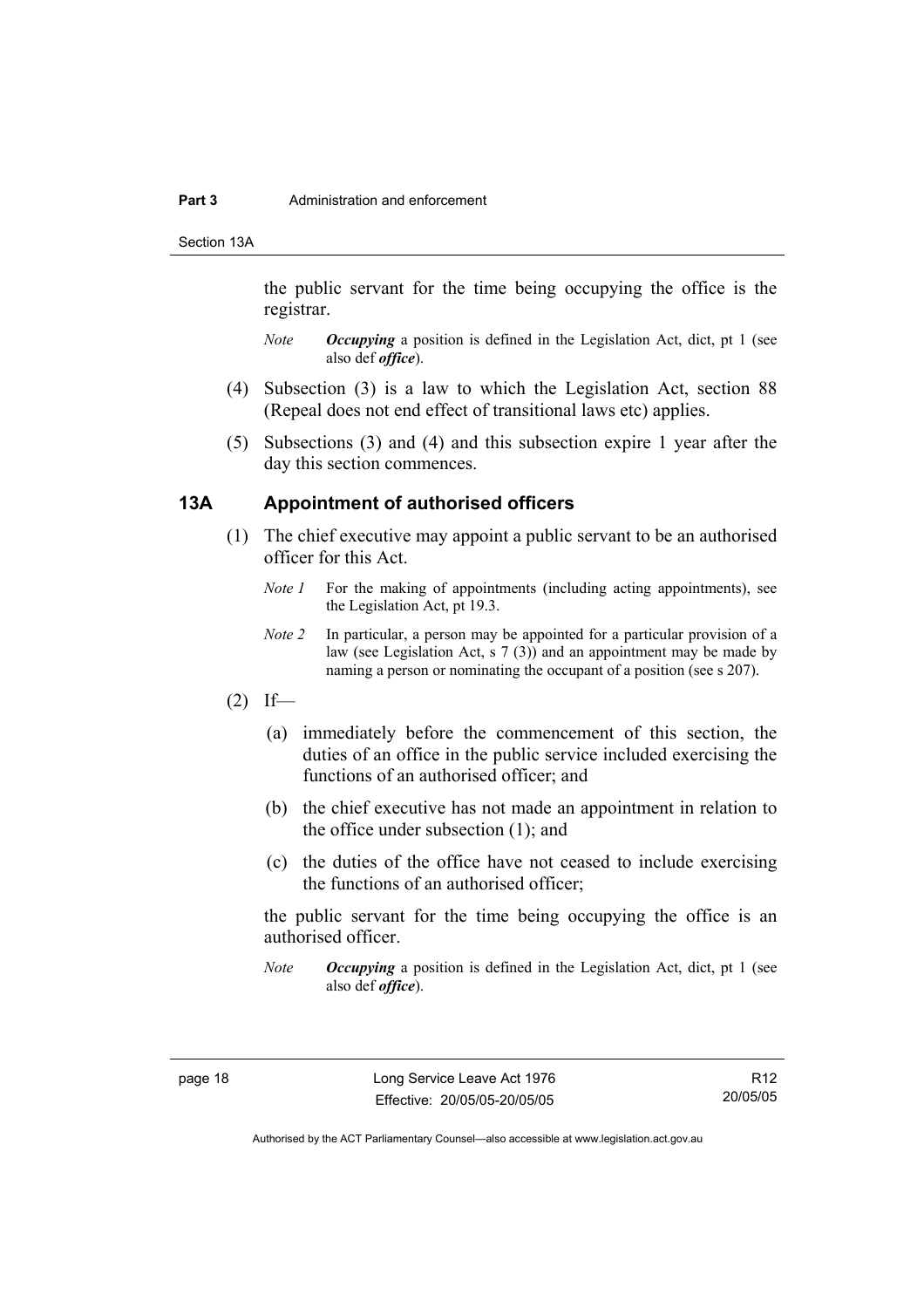#### **Part 3** Administration and enforcement

Section 13A

the public servant for the time being occupying the office is the registrar.

- *Note Occupying* a position is defined in the Legislation Act, dict, pt 1 (see also def *office*).
- (4) Subsection (3) is a law to which the Legislation Act, section 88 (Repeal does not end effect of transitional laws etc) applies.
- (5) Subsections (3) and (4) and this subsection expire 1 year after the day this section commences.

## **13A Appointment of authorised officers**

- (1) The chief executive may appoint a public servant to be an authorised officer for this Act.
	- *Note 1* For the making of appointments (including acting appointments), see the Legislation Act, pt 19.3.
	- *Note 2* In particular, a person may be appointed for a particular provision of a law (see Legislation Act, s 7 (3)) and an appointment may be made by naming a person or nominating the occupant of a position (see s 207).
- $(2)$  If—
	- (a) immediately before the commencement of this section, the duties of an office in the public service included exercising the functions of an authorised officer; and
	- (b) the chief executive has not made an appointment in relation to the office under subsection (1); and
	- (c) the duties of the office have not ceased to include exercising the functions of an authorised officer;

the public servant for the time being occupying the office is an authorised officer.

*Note Occupying* a position is defined in the Legislation Act, dict, pt 1 (see also def *office*).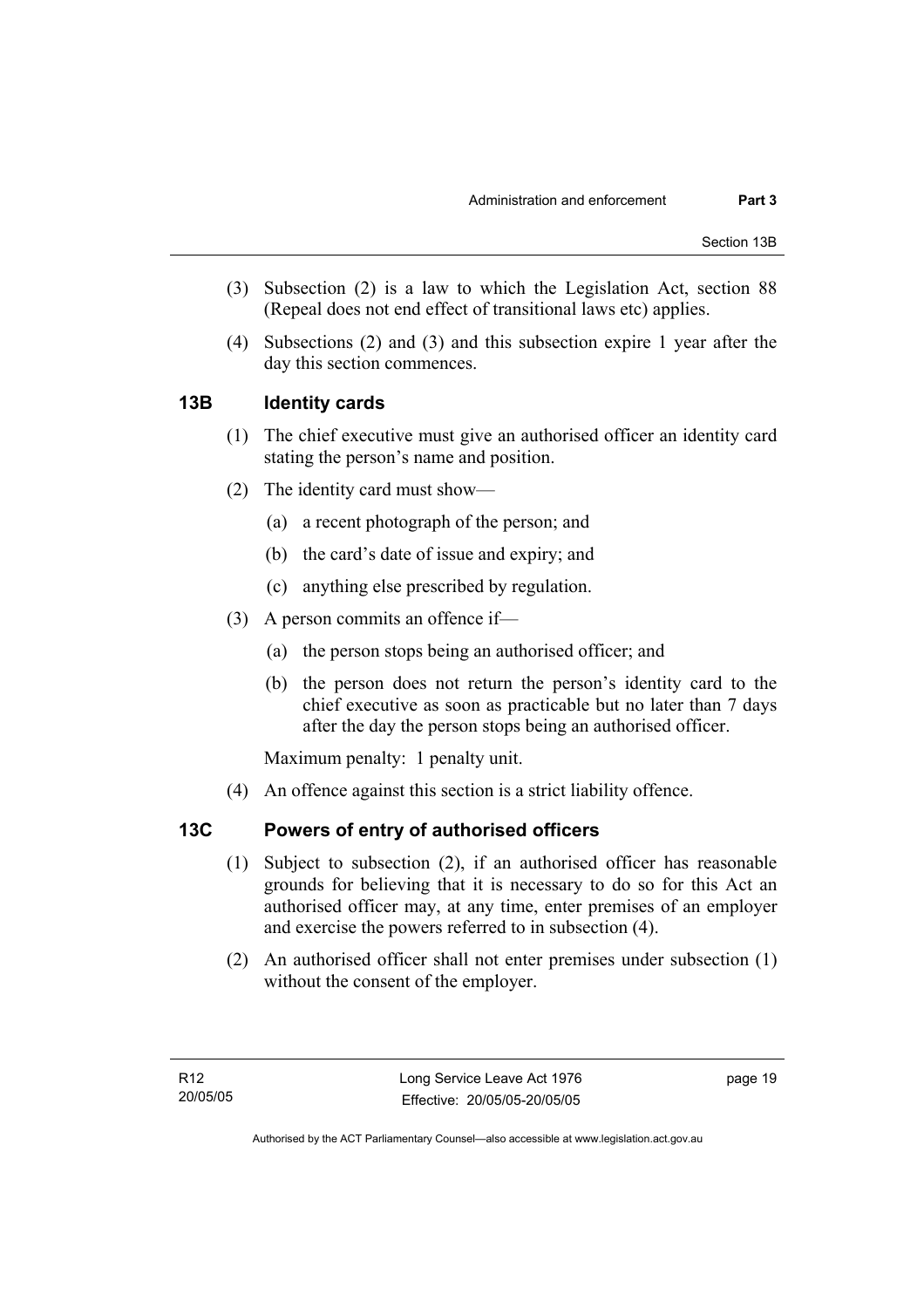- (3) Subsection (2) is a law to which the Legislation Act, section 88 (Repeal does not end effect of transitional laws etc) applies.
- (4) Subsections (2) and (3) and this subsection expire 1 year after the day this section commences.

## **13B Identity cards**

- (1) The chief executive must give an authorised officer an identity card stating the person's name and position.
- (2) The identity card must show—
	- (a) a recent photograph of the person; and
	- (b) the card's date of issue and expiry; and
	- (c) anything else prescribed by regulation.
- (3) A person commits an offence if—
	- (a) the person stops being an authorised officer; and
	- (b) the person does not return the person's identity card to the chief executive as soon as practicable but no later than 7 days after the day the person stops being an authorised officer.

Maximum penalty: 1 penalty unit.

(4) An offence against this section is a strict liability offence.

## **13C Powers of entry of authorised officers**

- (1) Subject to subsection (2), if an authorised officer has reasonable grounds for believing that it is necessary to do so for this Act an authorised officer may, at any time, enter premises of an employer and exercise the powers referred to in subsection (4).
- (2) An authorised officer shall not enter premises under subsection (1) without the consent of the employer.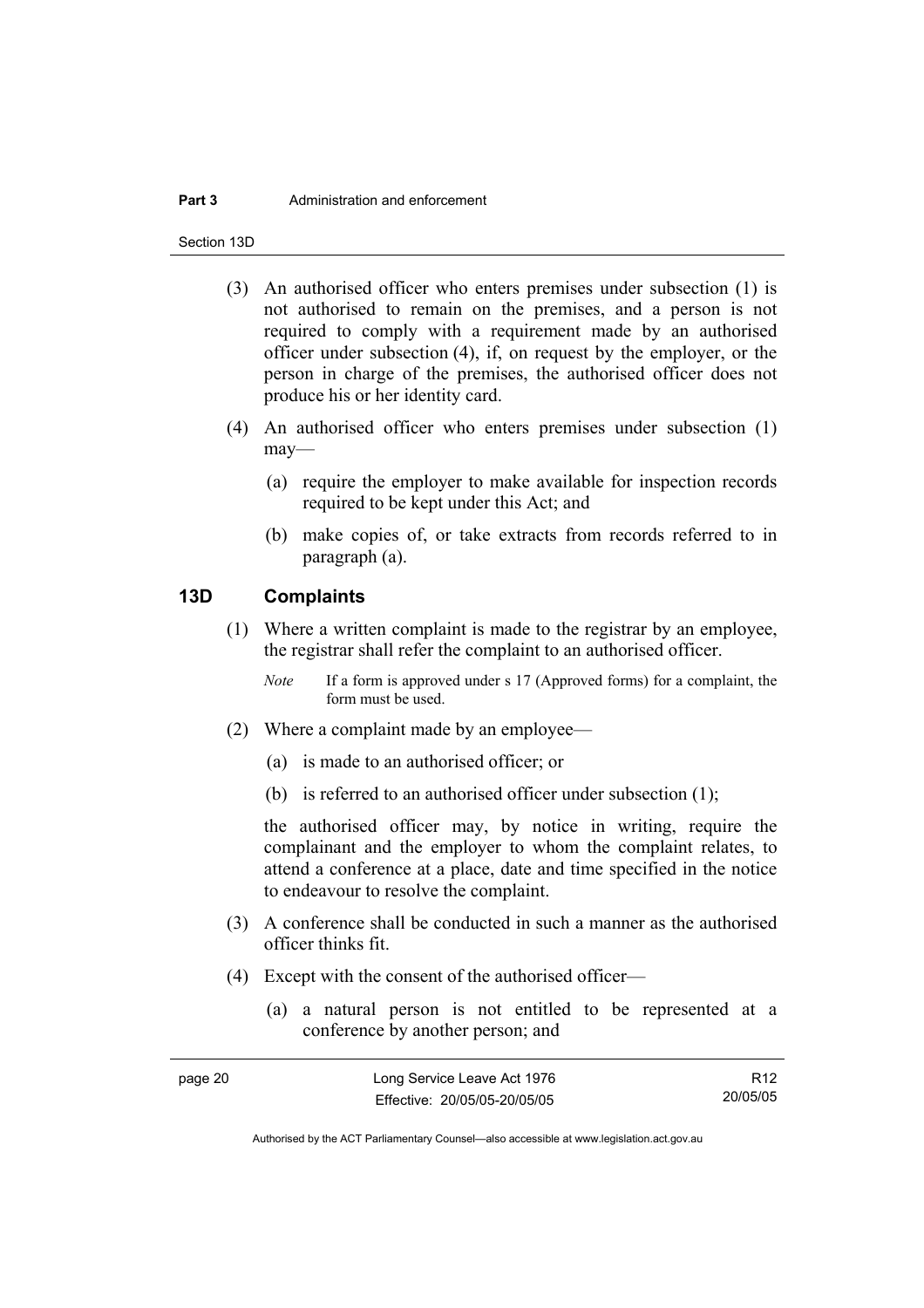#### **Part 3** Administration and enforcement

Section 13D

- (3) An authorised officer who enters premises under subsection (1) is not authorised to remain on the premises, and a person is not required to comply with a requirement made by an authorised officer under subsection (4), if, on request by the employer, or the person in charge of the premises, the authorised officer does not produce his or her identity card.
- (4) An authorised officer who enters premises under subsection (1) may—
	- (a) require the employer to make available for inspection records required to be kept under this Act; and
	- (b) make copies of, or take extracts from records referred to in paragraph (a).

## **13D Complaints**

- (1) Where a written complaint is made to the registrar by an employee, the registrar shall refer the complaint to an authorised officer.
	- *Note* If a form is approved under s 17 (Approved forms) for a complaint, the form must be used.
- (2) Where a complaint made by an employee—
	- (a) is made to an authorised officer; or
	- (b) is referred to an authorised officer under subsection (1);

the authorised officer may, by notice in writing, require the complainant and the employer to whom the complaint relates, to attend a conference at a place, date and time specified in the notice to endeavour to resolve the complaint.

- (3) A conference shall be conducted in such a manner as the authorised officer thinks fit.
- (4) Except with the consent of the authorised officer—
	- (a) a natural person is not entitled to be represented at a conference by another person; and

| page 20 | Long Service Leave Act 1976  | R <sub>12</sub> |
|---------|------------------------------|-----------------|
|         | Effective: 20/05/05-20/05/05 | 20/05/05        |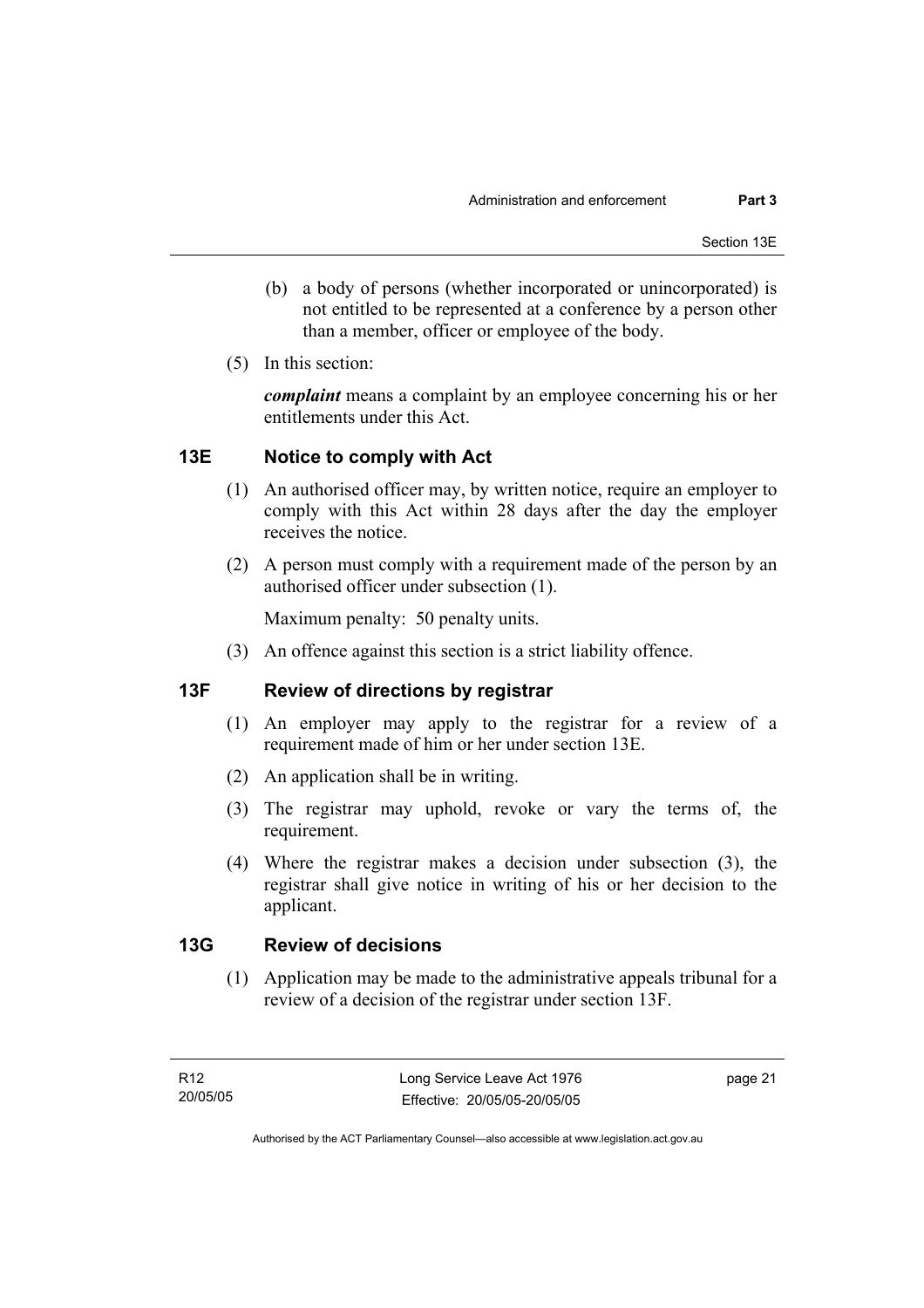- (b) a body of persons (whether incorporated or unincorporated) is not entitled to be represented at a conference by a person other than a member, officer or employee of the body.
- (5) In this section:

*complaint* means a complaint by an employee concerning his or her entitlements under this Act.

## **13E Notice to comply with Act**

- (1) An authorised officer may, by written notice, require an employer to comply with this Act within 28 days after the day the employer receives the notice.
- (2) A person must comply with a requirement made of the person by an authorised officer under subsection (1).

Maximum penalty: 50 penalty units.

(3) An offence against this section is a strict liability offence.

## **13F Review of directions by registrar**

- (1) An employer may apply to the registrar for a review of a requirement made of him or her under section 13E.
- (2) An application shall be in writing.
- (3) The registrar may uphold, revoke or vary the terms of, the requirement.
- (4) Where the registrar makes a decision under subsection (3), the registrar shall give notice in writing of his or her decision to the applicant.

## **13G Review of decisions**

 (1) Application may be made to the administrative appeals tribunal for a review of a decision of the registrar under section 13F.

page 21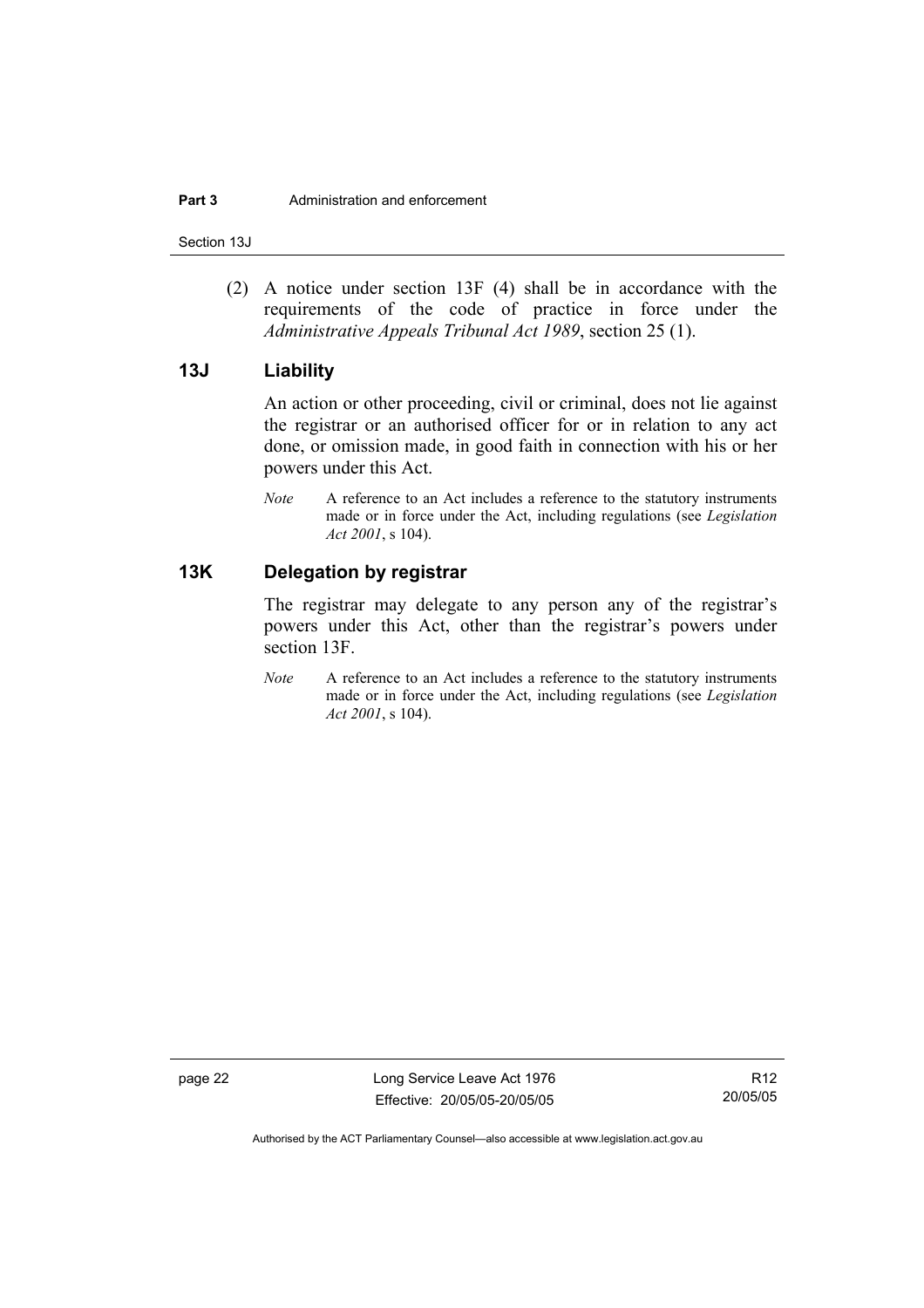Section 13J

 (2) A notice under section 13F (4) shall be in accordance with the requirements of the code of practice in force under the *Administrative Appeals Tribunal Act 1989*, section 25 (1).

## **13J Liability**

An action or other proceeding, civil or criminal, does not lie against the registrar or an authorised officer for or in relation to any act done, or omission made, in good faith in connection with his or her powers under this Act.

*Note* A reference to an Act includes a reference to the statutory instruments made or in force under the Act, including regulations (see *Legislation Act 2001*, s 104).

## **13K Delegation by registrar**

The registrar may delegate to any person any of the registrar's powers under this Act, other than the registrar's powers under section 13F.

*Note* A reference to an Act includes a reference to the statutory instruments made or in force under the Act, including regulations (see *Legislation Act 2001*, s 104).

page 22 Long Service Leave Act 1976 Effective: 20/05/05-20/05/05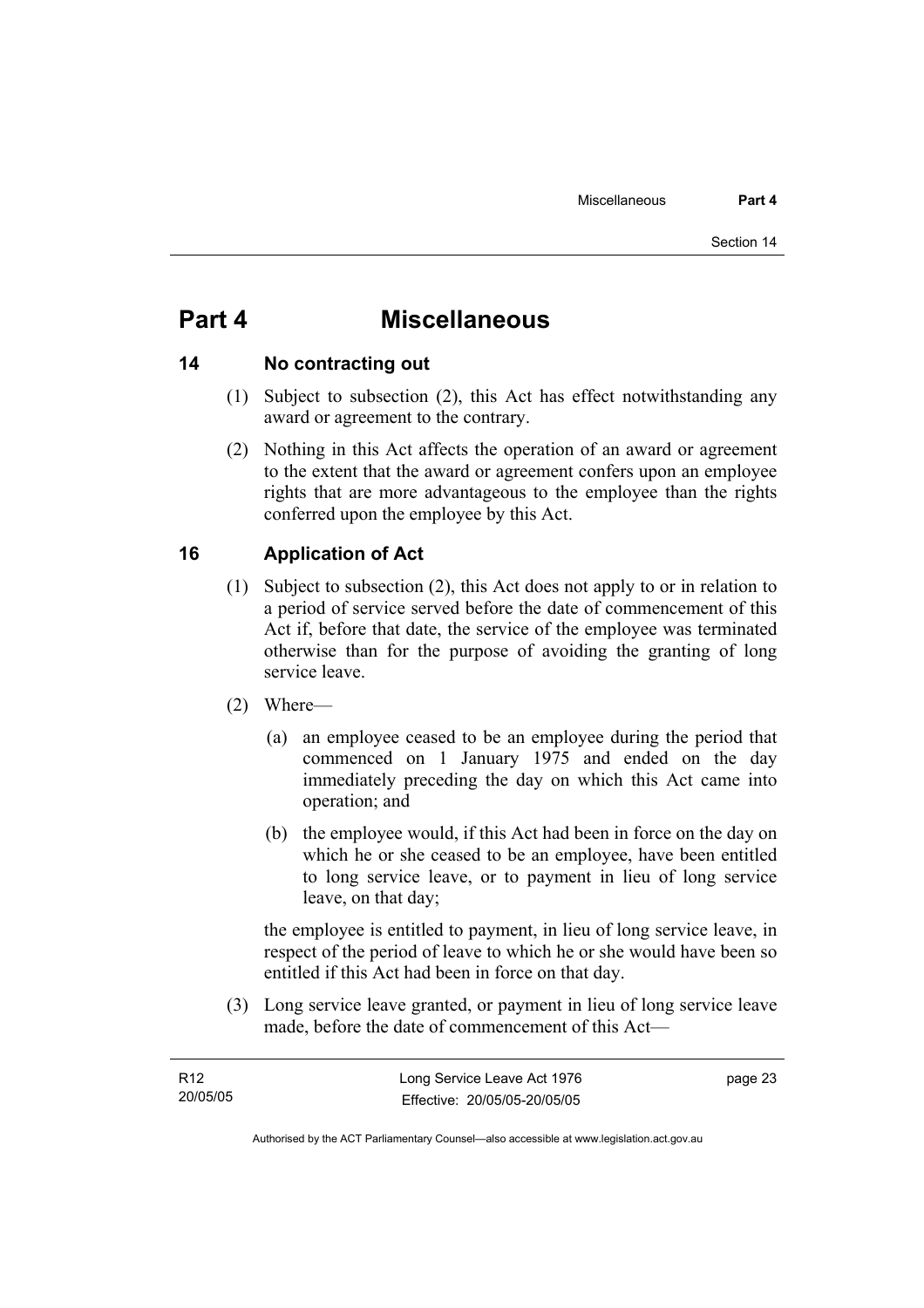## **Part 4 Miscellaneous**

## **14 No contracting out**

- (1) Subject to subsection (2), this Act has effect notwithstanding any award or agreement to the contrary.
- (2) Nothing in this Act affects the operation of an award or agreement to the extent that the award or agreement confers upon an employee rights that are more advantageous to the employee than the rights conferred upon the employee by this Act.

## **16 Application of Act**

- (1) Subject to subsection (2), this Act does not apply to or in relation to a period of service served before the date of commencement of this Act if, before that date, the service of the employee was terminated otherwise than for the purpose of avoiding the granting of long service leave.
- (2) Where—
	- (a) an employee ceased to be an employee during the period that commenced on 1 January 1975 and ended on the day immediately preceding the day on which this Act came into operation; and
	- (b) the employee would, if this Act had been in force on the day on which he or she ceased to be an employee, have been entitled to long service leave, or to payment in lieu of long service leave, on that day;

the employee is entitled to payment, in lieu of long service leave, in respect of the period of leave to which he or she would have been so entitled if this Act had been in force on that day.

 (3) Long service leave granted, or payment in lieu of long service leave made, before the date of commencement of this Act—

| R12      | Long Service Leave Act 1976  | page 23 |
|----------|------------------------------|---------|
| 20/05/05 | Effective: 20/05/05-20/05/05 |         |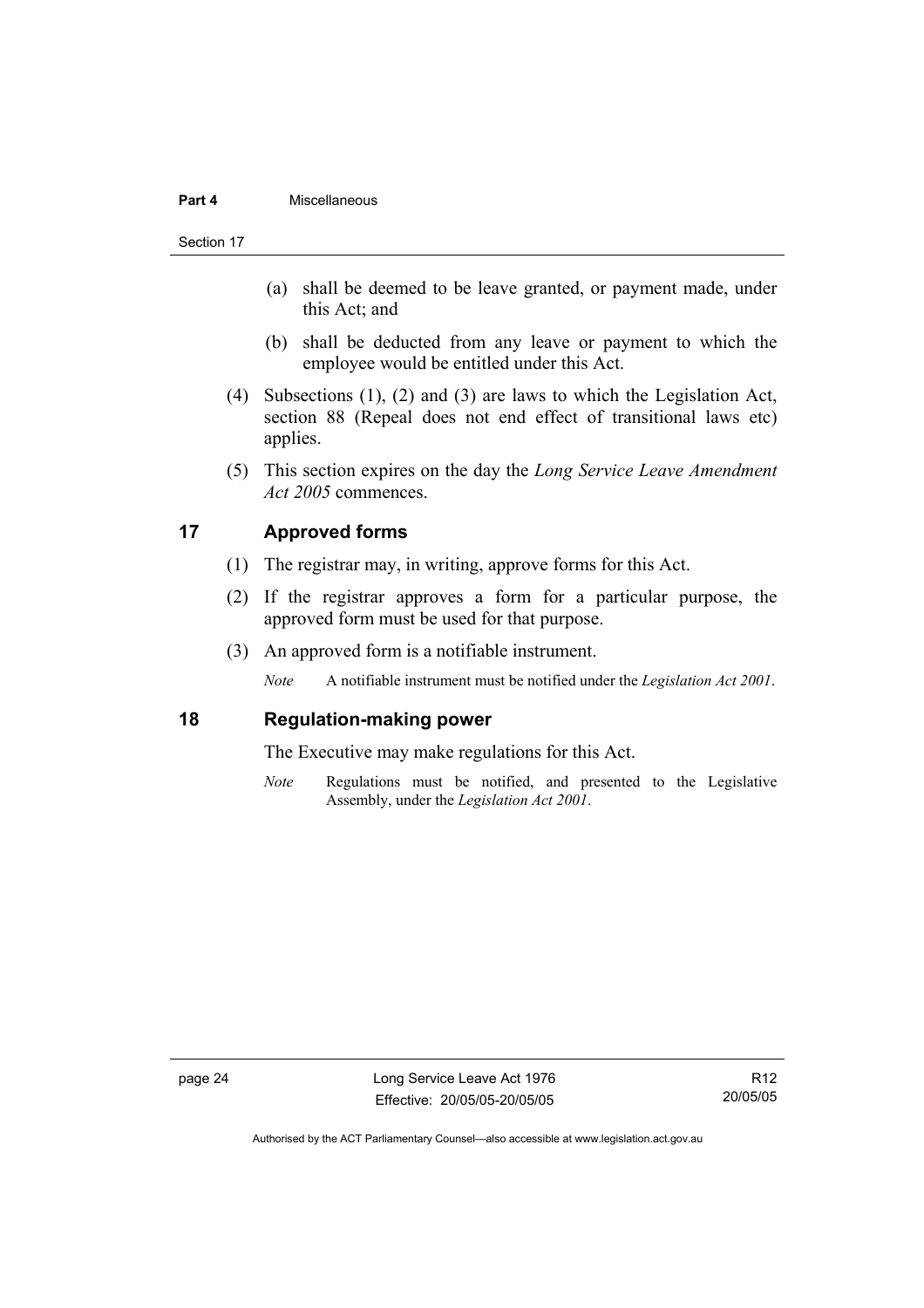#### **Part 4** Miscellaneous

Section 17

- (a) shall be deemed to be leave granted, or payment made, under this Act; and
- (b) shall be deducted from any leave or payment to which the employee would be entitled under this Act.
- (4) Subsections (1), (2) and (3) are laws to which the Legislation Act, section 88 (Repeal does not end effect of transitional laws etc) applies.
- (5) This section expires on the day the *Long Service Leave Amendment Act 2005* commences.

## **17 Approved forms**

- (1) The registrar may, in writing, approve forms for this Act.
- (2) If the registrar approves a form for a particular purpose, the approved form must be used for that purpose.
- (3) An approved form is a notifiable instrument.

*Note* A notifiable instrument must be notified under the *Legislation Act 2001*.

### **18 Regulation-making power**

The Executive may make regulations for this Act.

*Note* Regulations must be notified, and presented to the Legislative Assembly, under the *Legislation Act 2001*.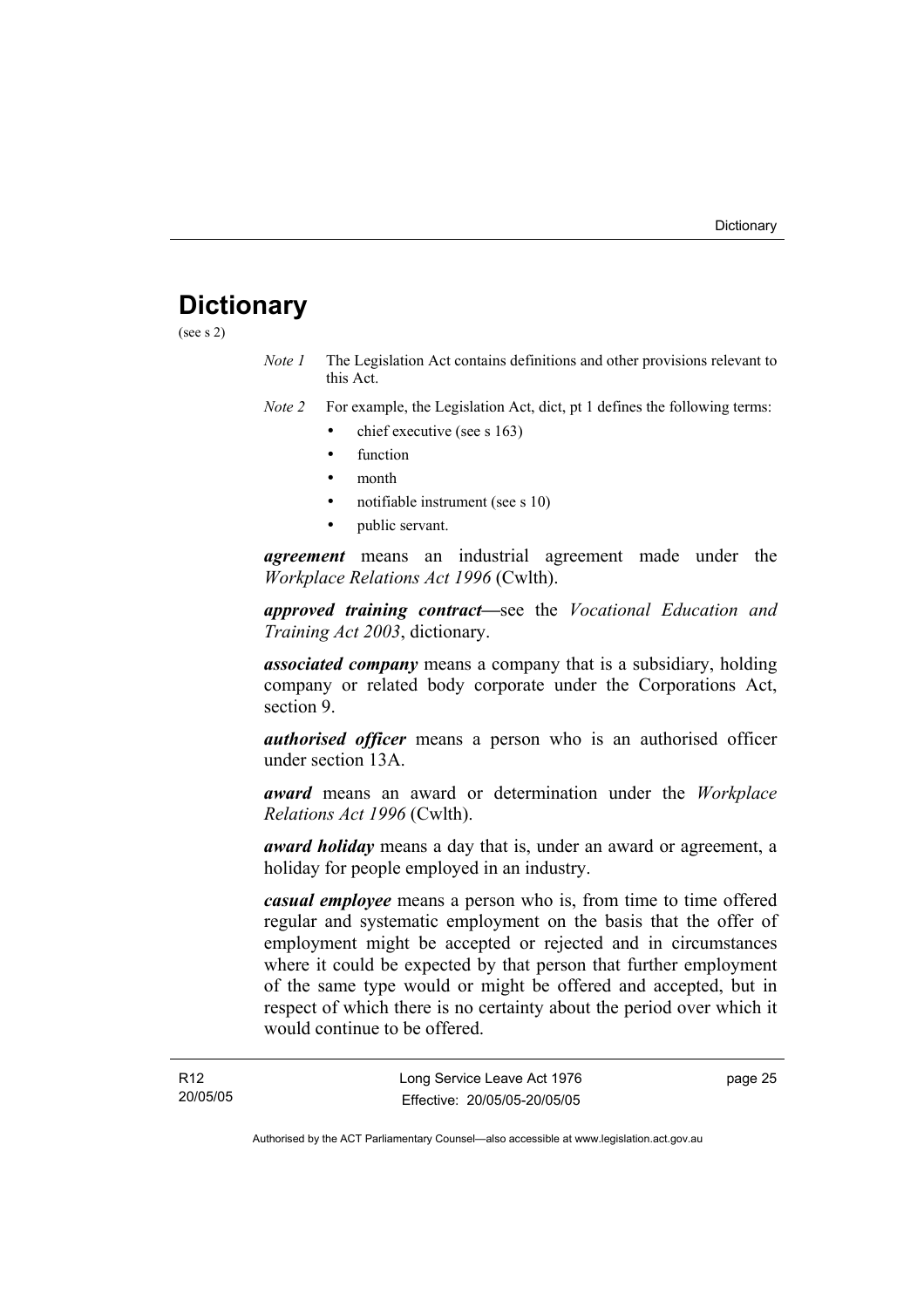## **Dictionary**

(see s 2)

*Note 1* The Legislation Act contains definitions and other provisions relevant to this Act.

*Note 2* For example, the Legislation Act, dict, pt 1 defines the following terms:

- chief executive (see s 163)
	- **function**
	- month
	- notifiable instrument (see s 10)
	- public servant.

*agreement* means an industrial agreement made under the *Workplace Relations Act 1996* (Cwlth).

*approved training contract—*see the *Vocational Education and Training Act 2003*, dictionary.

*associated company* means a company that is a subsidiary, holding company or related body corporate under the Corporations Act, section 9.

*authorised officer* means a person who is an authorised officer under section 13A.

*award* means an award or determination under the *Workplace Relations Act 1996* (Cwlth).

*award holiday* means a day that is, under an award or agreement, a holiday for people employed in an industry.

*casual employee* means a person who is, from time to time offered regular and systematic employment on the basis that the offer of employment might be accepted or rejected and in circumstances where it could be expected by that person that further employment of the same type would or might be offered and accepted, but in respect of which there is no certainty about the period over which it would continue to be offered.

page 25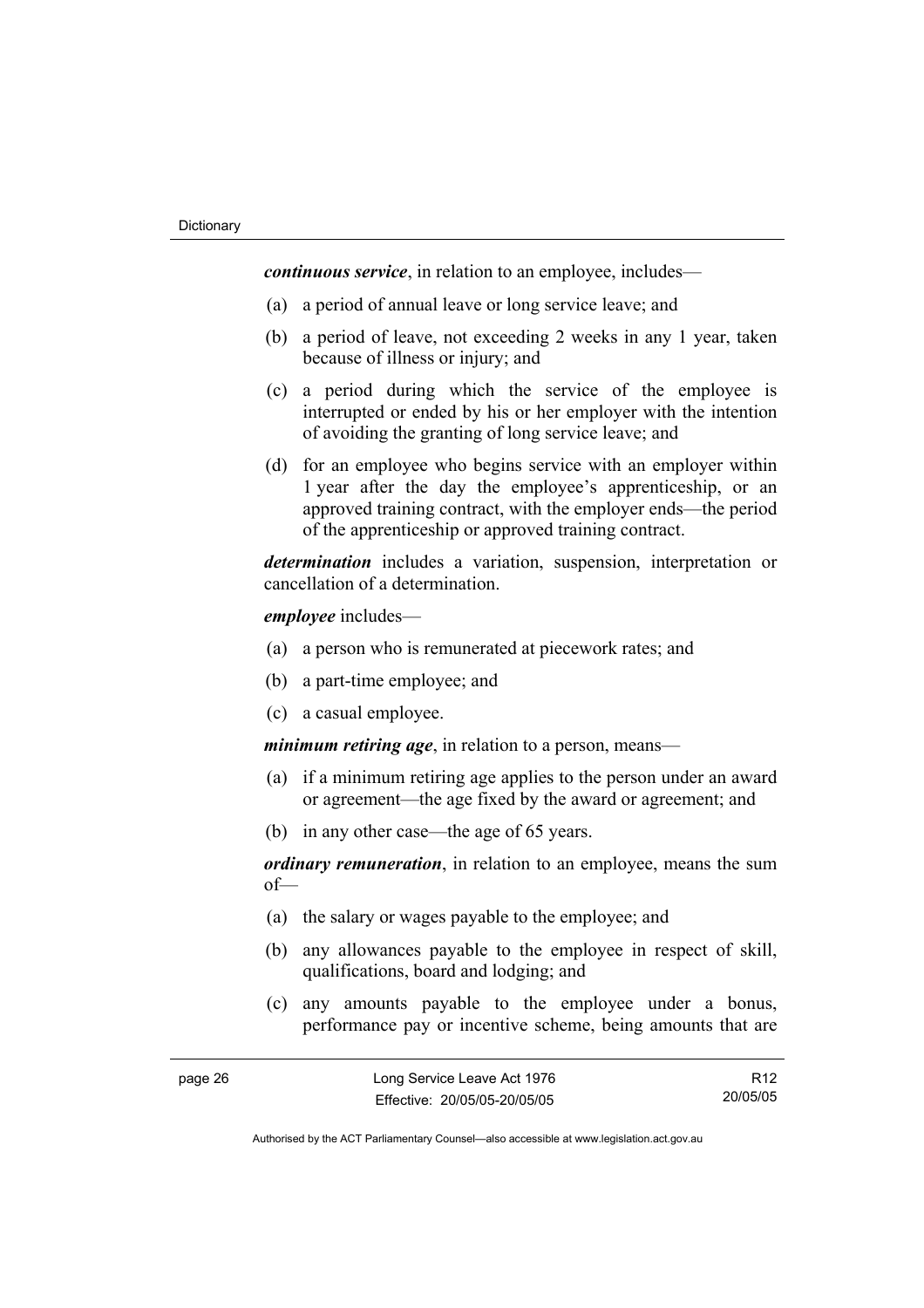*continuous service*, in relation to an employee, includes—

- (a) a period of annual leave or long service leave; and
- (b) a period of leave, not exceeding 2 weeks in any 1 year, taken because of illness or injury; and
- (c) a period during which the service of the employee is interrupted or ended by his or her employer with the intention of avoiding the granting of long service leave; and
- (d) for an employee who begins service with an employer within 1 year after the day the employee's apprenticeship, or an approved training contract, with the employer ends—the period of the apprenticeship or approved training contract.

*determination* includes a variation, suspension, interpretation or cancellation of a determination.

*employee* includes—

- (a) a person who is remunerated at piecework rates; and
- (b) a part-time employee; and
- (c) a casual employee.

*minimum retiring age*, in relation to a person, means—

- (a) if a minimum retiring age applies to the person under an award or agreement—the age fixed by the award or agreement; and
- (b) in any other case—the age of 65 years.

*ordinary remuneration*, in relation to an employee, means the sum of—

- (a) the salary or wages payable to the employee; and
- (b) any allowances payable to the employee in respect of skill, qualifications, board and lodging; and
- (c) any amounts payable to the employee under a bonus, performance pay or incentive scheme, being amounts that are

R12 20/05/05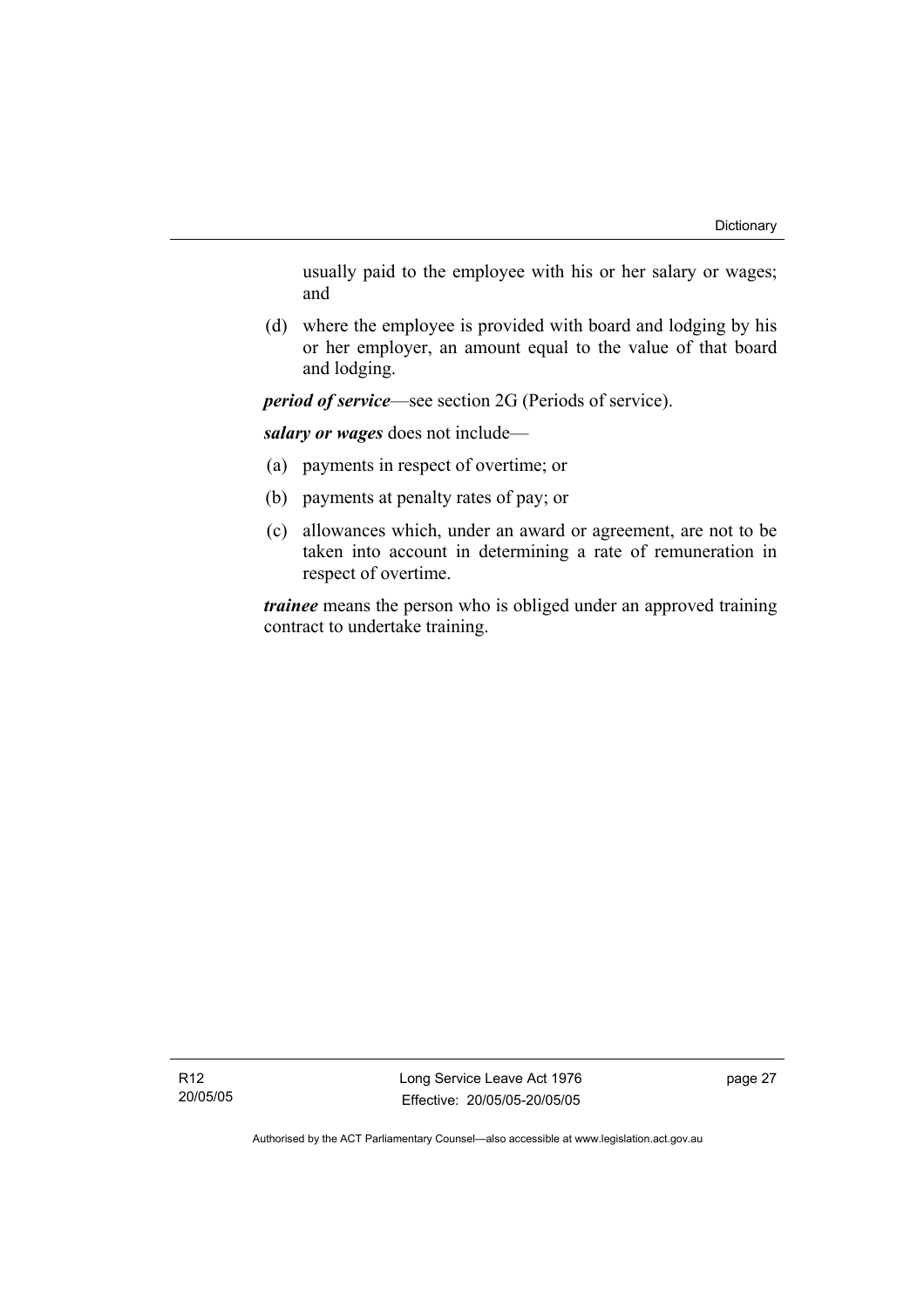usually paid to the employee with his or her salary or wages; and

 (d) where the employee is provided with board and lodging by his or her employer, an amount equal to the value of that board and lodging.

*period of service*—see section 2G (Periods of service).

*salary or wages* does not include—

- (a) payments in respect of overtime; or
- (b) payments at penalty rates of pay; or
- (c) allowances which, under an award or agreement, are not to be taken into account in determining a rate of remuneration in respect of overtime.

*trainee* means the person who is obliged under an approved training contract to undertake training.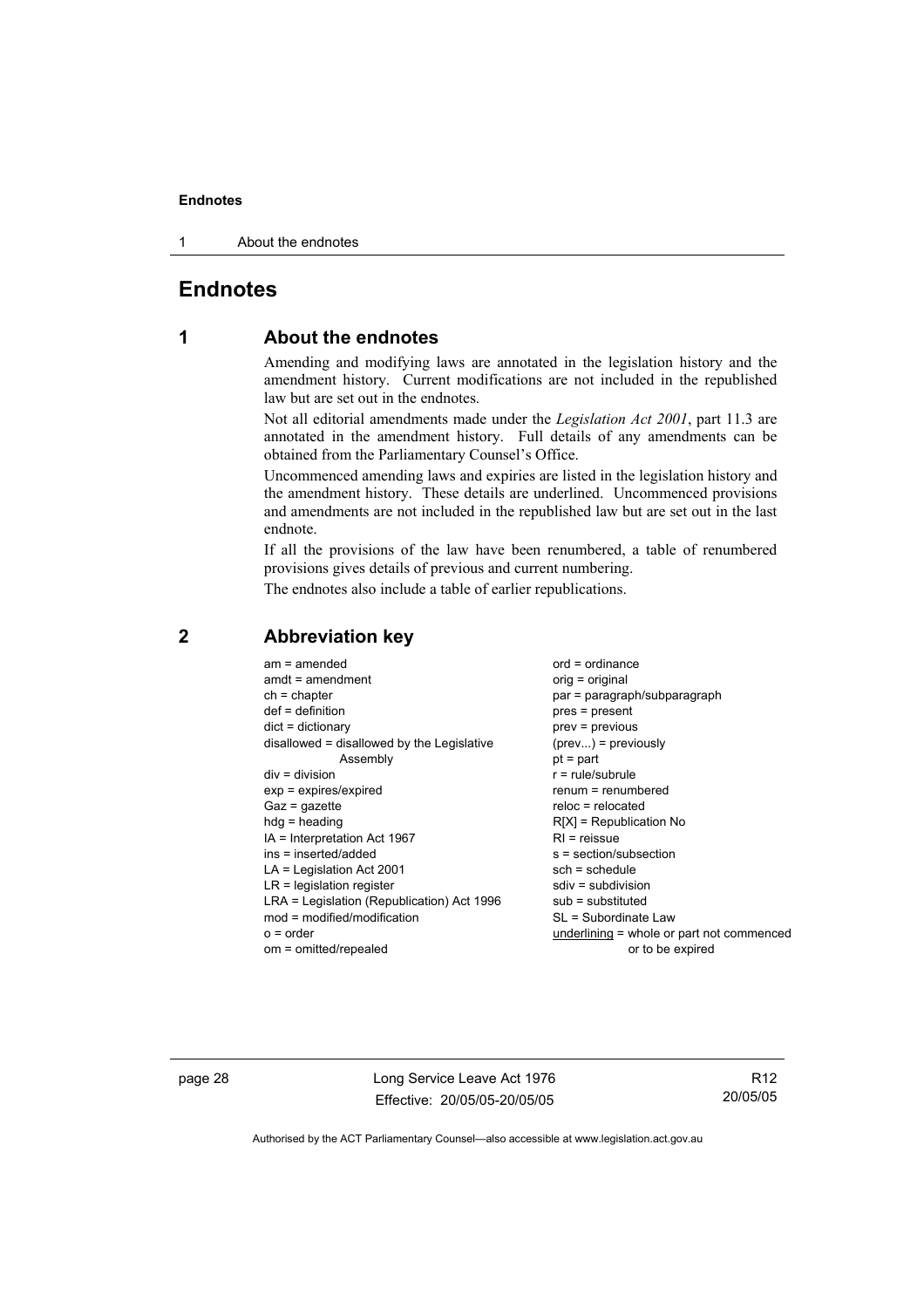1 About the endnotes

## **Endnotes**

## **1 About the endnotes**

Amending and modifying laws are annotated in the legislation history and the amendment history. Current modifications are not included in the republished law but are set out in the endnotes.

Not all editorial amendments made under the *Legislation Act 2001*, part 11.3 are annotated in the amendment history. Full details of any amendments can be obtained from the Parliamentary Counsel's Office.

Uncommenced amending laws and expiries are listed in the legislation history and the amendment history. These details are underlined. Uncommenced provisions and amendments are not included in the republished law but are set out in the last endnote.

If all the provisions of the law have been renumbered, a table of renumbered provisions gives details of previous and current numbering.

The endnotes also include a table of earlier republications.

|             | $am = amended$<br>$amdt = amendment$<br>$ch = chapter$<br>$def = definition$<br>$dict = dictionary$<br>disallowed = disallowed by the Legislative<br>Assembly<br>$div = division$<br>$exp = expires/expired$<br>$Gaz = gazette$<br>$hdg = heading$<br>$IA = Interpretation Act 1967$<br>$ins = inserted/added$<br>$LA =$ Legislation Act 2001<br>$LR =$ legislation register<br>LRA = Legislation (Republication) Act 1996<br>$mod = modified/modification$ | $ord = ordinance$<br>$orig = original$<br>par = paragraph/subparagraph<br>$pres = present$<br>$prev = previous$<br>$(\text{prev}) = \text{previously}$<br>$pt = part$<br>$r = rule/subrule$<br>$renum = renumbered$<br>$reloc = relocated$<br>$R[X]$ = Republication No<br>$R1$ = reissue<br>$s = section/subsection$<br>$sch = schedule$<br>$sdiv = subdivision$<br>$sub =$ substituted<br>SL = Subordinate Law |
|-------------|-------------------------------------------------------------------------------------------------------------------------------------------------------------------------------------------------------------------------------------------------------------------------------------------------------------------------------------------------------------------------------------------------------------------------------------------------------------|------------------------------------------------------------------------------------------------------------------------------------------------------------------------------------------------------------------------------------------------------------------------------------------------------------------------------------------------------------------------------------------------------------------|
| $o = order$ |                                                                                                                                                                                                                                                                                                                                                                                                                                                             | underlining = whole or part not commenced                                                                                                                                                                                                                                                                                                                                                                        |
|             | om = omitted/repealed                                                                                                                                                                                                                                                                                                                                                                                                                                       | or to be expired                                                                                                                                                                                                                                                                                                                                                                                                 |
|             |                                                                                                                                                                                                                                                                                                                                                                                                                                                             |                                                                                                                                                                                                                                                                                                                                                                                                                  |

### **2 Abbreviation key**

page 28 Long Service Leave Act 1976 Effective: 20/05/05-20/05/05

R12 20/05/05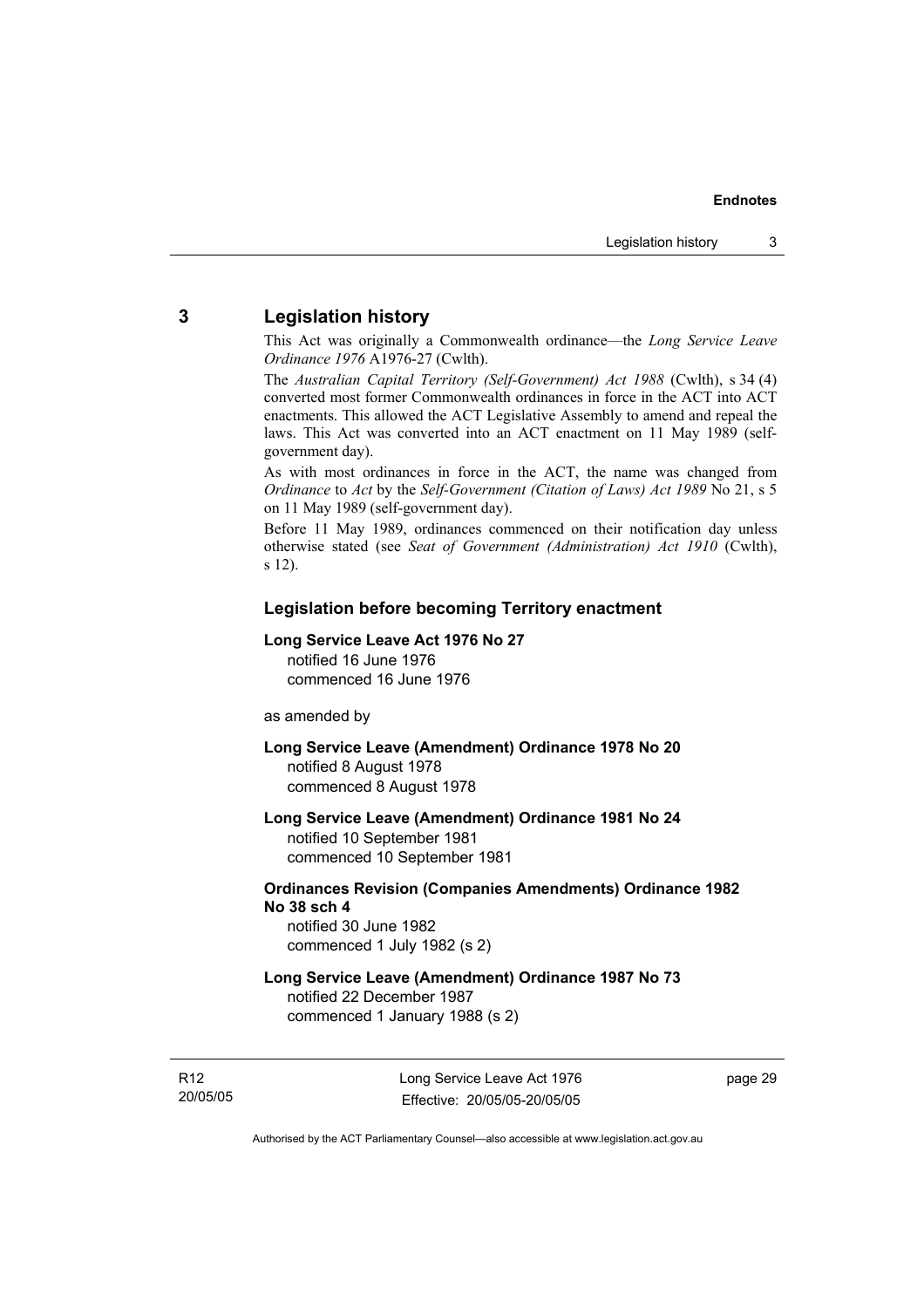## **3 Legislation history**

This Act was originally a Commonwealth ordinance—the *Long Service Leave Ordinance 1976* A1976-27 (Cwlth).

The *Australian Capital Territory (Self-Government) Act 1988* (Cwlth), s 34 (4) converted most former Commonwealth ordinances in force in the ACT into ACT enactments. This allowed the ACT Legislative Assembly to amend and repeal the laws. This Act was converted into an ACT enactment on 11 May 1989 (selfgovernment day).

As with most ordinances in force in the ACT, the name was changed from *Ordinance* to *Act* by the *Self-Government (Citation of Laws) Act 1989* No 21, s 5 on 11 May 1989 (self-government day).

Before 11 May 1989, ordinances commenced on their notification day unless otherwise stated (see *Seat of Government (Administration) Act 1910* (Cwlth), s 12).

#### **Legislation before becoming Territory enactment**

#### **Long Service Leave Act 1976 No 27**

notified 16 June 1976 commenced 16 June 1976

as amended by

**Long Service Leave (Amendment) Ordinance 1978 No 20**  notified 8 August 1978 commenced 8 August 1978

**Long Service Leave (Amendment) Ordinance 1981 No 24**  notified 10 September 1981

commenced 10 September 1981

## **Ordinances Revision (Companies Amendments) Ordinance 1982 No 38 sch 4**

notified 30 June 1982 commenced 1 July 1982 (s 2)

#### **Long Service Leave (Amendment) Ordinance 1987 No 73**  notified 22 December 1987

commenced 1 January 1988 (s 2)

R12 20/05/05 page 29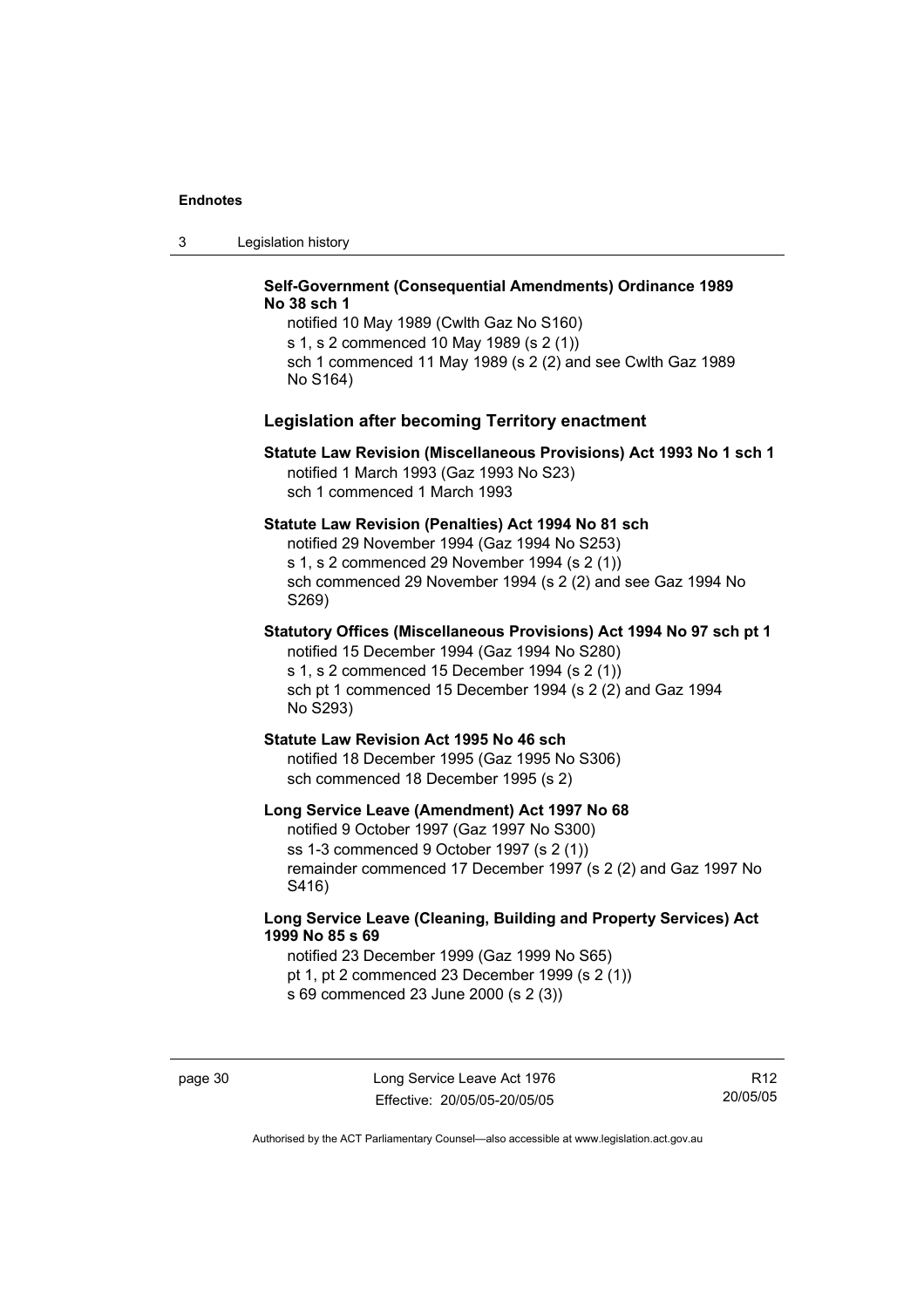3 Legislation history

#### **Self-Government (Consequential Amendments) Ordinance 1989 No 38 sch 1**

notified 10 May 1989 (Cwlth Gaz No S160) s 1, s 2 commenced 10 May 1989 (s 2 (1)) sch 1 commenced 11 May 1989 (s 2 (2) and see Cwlth Gaz 1989 No S164)

#### **Legislation after becoming Territory enactment**

#### **Statute Law Revision (Miscellaneous Provisions) Act 1993 No 1 sch 1**  notified 1 March 1993 (Gaz 1993 No S23) sch 1 commenced 1 March 1993

#### **Statute Law Revision (Penalties) Act 1994 No 81 sch**

notified 29 November 1994 (Gaz 1994 No S253) s 1, s 2 commenced 29 November 1994 (s 2 (1)) sch commenced 29 November 1994 (s 2 (2) and see Gaz 1994 No S269)

## **Statutory Offices (Miscellaneous Provisions) Act 1994 No 97 sch pt 1**

notified 15 December 1994 (Gaz 1994 No S280) s 1, s 2 commenced 15 December 1994 (s 2 (1)) sch pt 1 commenced 15 December 1994 (s 2 (2) and Gaz 1994 No S293)

#### **Statute Law Revision Act 1995 No 46 sch**

notified 18 December 1995 (Gaz 1995 No S306) sch commenced 18 December 1995 (s 2)

#### **Long Service Leave (Amendment) Act 1997 No 68**

notified 9 October 1997 (Gaz 1997 No S300) ss 1-3 commenced 9 October 1997 (s 2 (1)) remainder commenced 17 December 1997 (s 2 (2) and Gaz 1997 No S416)

### **Long Service Leave (Cleaning, Building and Property Services) Act 1999 No 85 s 69**

notified 23 December 1999 (Gaz 1999 No S65) pt 1, pt 2 commenced 23 December 1999 (s 2 (1)) s 69 commenced 23 June 2000 (s 2 (3))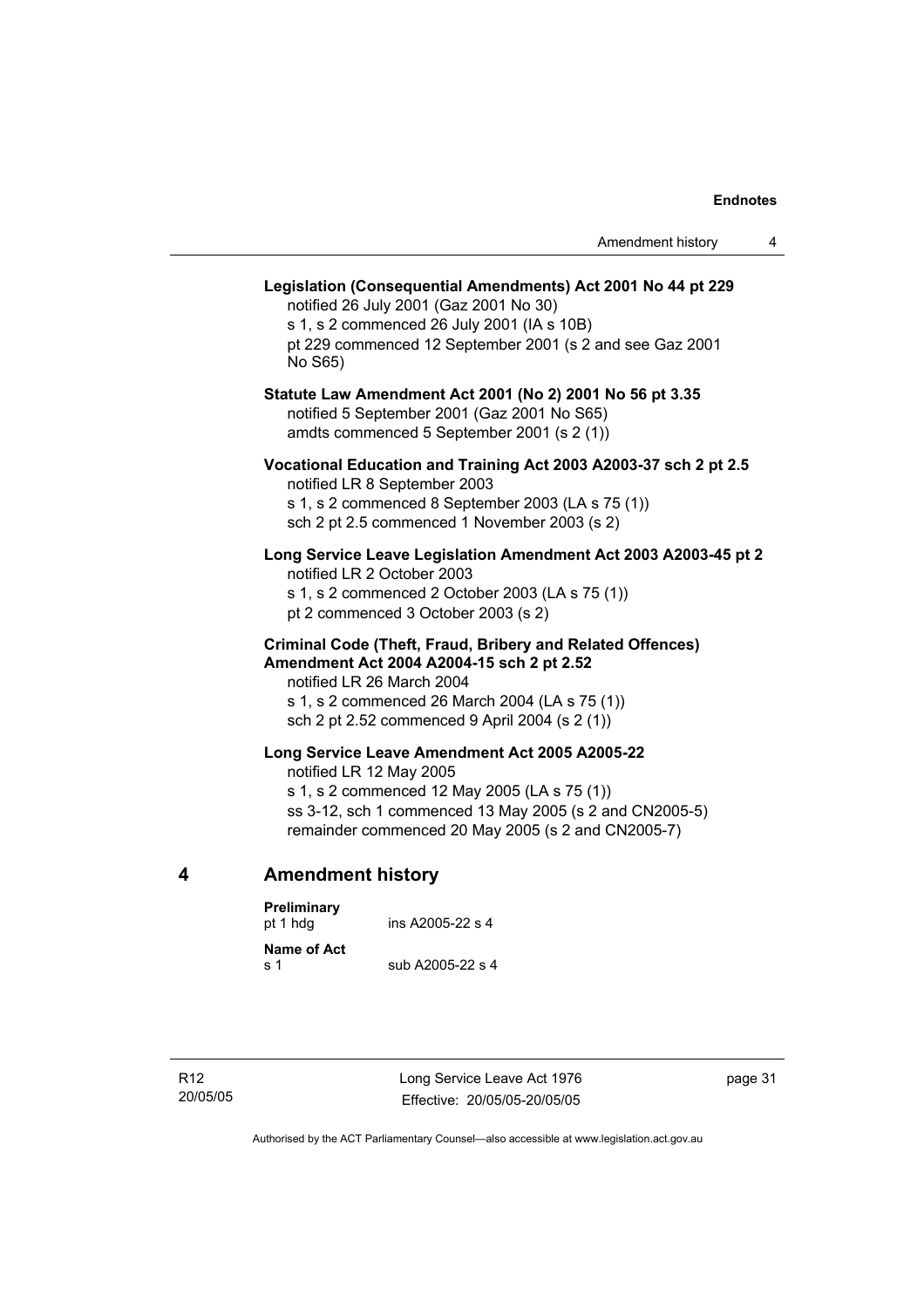## **Legislation (Consequential Amendments) Act 2001 No 44 pt 229**  notified 26 July 2001 (Gaz 2001 No 30) s 1, s 2 commenced 26 July 2001 (IA s 10B) pt 229 commenced 12 September 2001 (s 2 and see Gaz 2001 No S65) **Statute Law Amendment Act 2001 (No 2) 2001 No 56 pt 3.35**  notified 5 September 2001 (Gaz 2001 No S65) amdts commenced 5 September 2001 (s 2 (1)) **Vocational Education and Training Act 2003 A2003-37 sch 2 pt 2.5**  notified LR 8 September 2003 s 1, s 2 commenced 8 September 2003 (LA s 75 (1)) sch 2 pt 2.5 commenced 1 November 2003 (s 2) **Long Service Leave Legislation Amendment Act 2003 A2003-45 pt 2**  notified LR 2 October 2003 s 1, s 2 commenced 2 October 2003 (LA s 75 (1)) pt 2 commenced 3 October 2003 (s 2) **Criminal Code (Theft, Fraud, Bribery and Related Offences) Amendment Act 2004 A2004-15 sch 2 pt 2.52**  notified LR 26 March 2004 s 1, s 2 commenced 26 March 2004 (LA s 75 (1)) sch 2 pt 2.52 commenced 9 April 2004 (s 2 (1)) **Long Service Leave Amendment Act 2005 A2005-22**  notified LR 12 May 2005 s 1, s 2 commenced 12 May 2005 (LA s 75 (1)) ss 3-12, sch 1 commenced 13 May 2005 (s 2 and CN2005-5) remainder commenced 20 May 2005 (s 2 and CN2005-7) **4 Amendment history Preliminary**

| ins A2005-22 s 4 |
|------------------|
| sub A2005-22 s 4 |
|                  |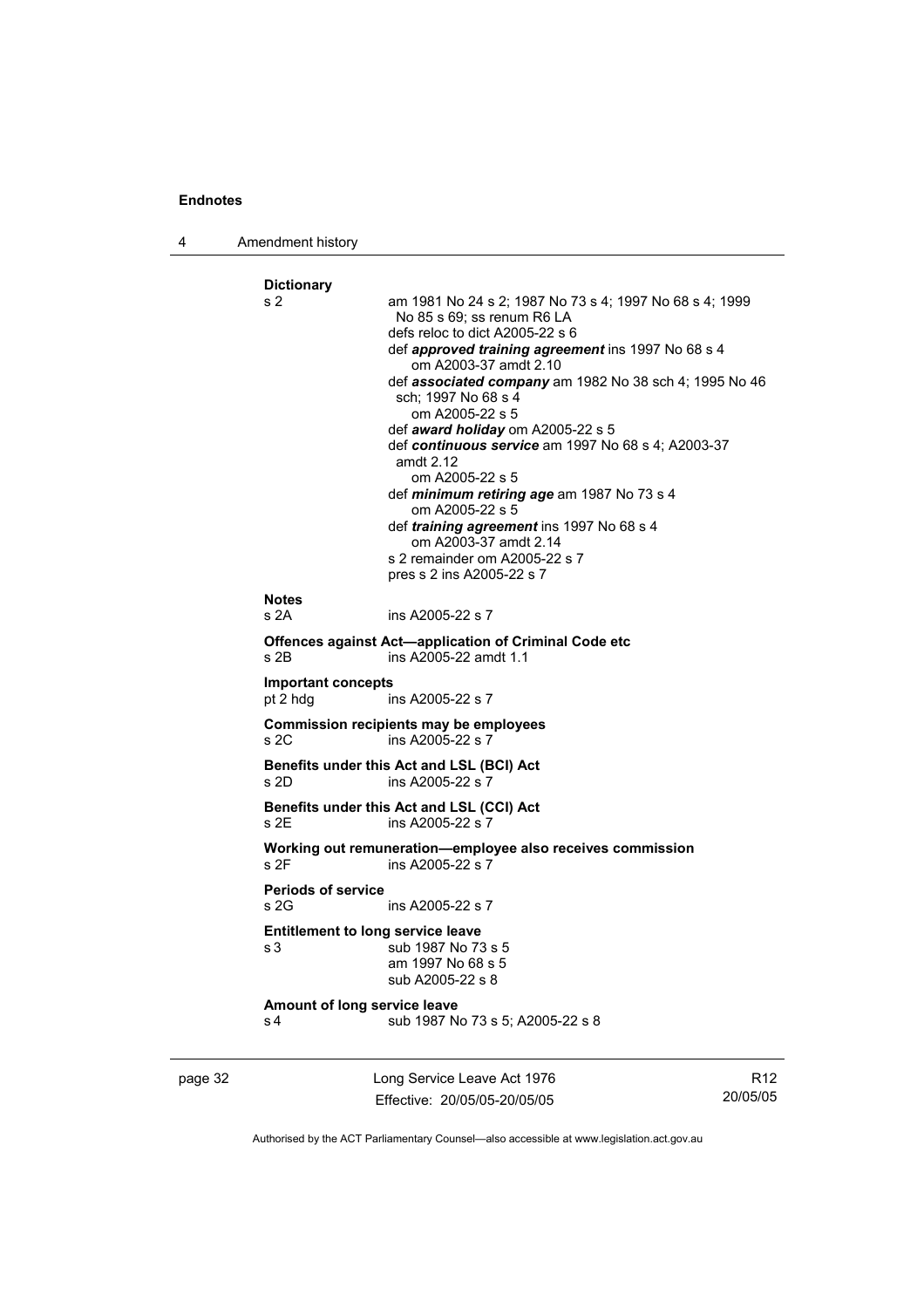4 Amendment history

```
Dictionary 
s 2 am 1981 No 24 s 2; 1987 No 73 s 4; 1997 No 68 s 4; 1999 
                  No 85 s 69; ss renum R6 LA 
                  defs reloc to dict A2005-22 s 6 
                  def approved training agreement ins 1997 No 68 s 4 
                     om A2003-37 amdt 2.10 
                  def associated company am 1982 No 38 sch 4; 1995 No 46 
                  sch; 1997 No 68 s 4 
                     om A2005-22 s 5 
                  def award holiday om A2005-22 s 5 
                  def continuous service am 1997 No 68 s 4; A2003-37 
                  amdt 2.12 
                     om A2005-22 s 5 
                  def minimum retiring age am 1987 No 73 s 4 
                     om A2005-22 s 5 
                  def training agreement ins 1997 No 68 s 4 
                     om A2003-37 amdt 2.14 
                  s 2 remainder om A2005-22 s 7 
                  pres s 2 ins A2005-22 s 7 
Notes 
s 2A ins A2005-22 s 7 
Offences against Act—application of Criminal Code etc 
s 2B ins A2005-22 amdt 1.1 
Important concepts 
pt 2 hdg ins A2005-22 s 7 
Commission recipients may be employees 
s 2C ins A2005-22 s 7 
Benefits under this Act and LSL (BCI) Act 
s 2D ins A2005-22 s 7 
Benefits under this Act and LSL (CCI) Act 
s 2E ins A2005-22 s 7 
Working out remuneration—employee also receives commission 
s 2F ins A2005-22 s 7
Periods of service 
s 2G ins A2005-22 s 7
Entitlement to long service leave 
s 3 sub 1987 No 73 s 5 
                  am 1997 No 68 s 5 
                  sub A2005-22 s 8 
Amount of long service leave 
s 4 sub 1987 No 73 s 5; A2005-22 s 8
```
page 32 Long Service Leave Act 1976 Effective: 20/05/05-20/05/05

R12 20/05/05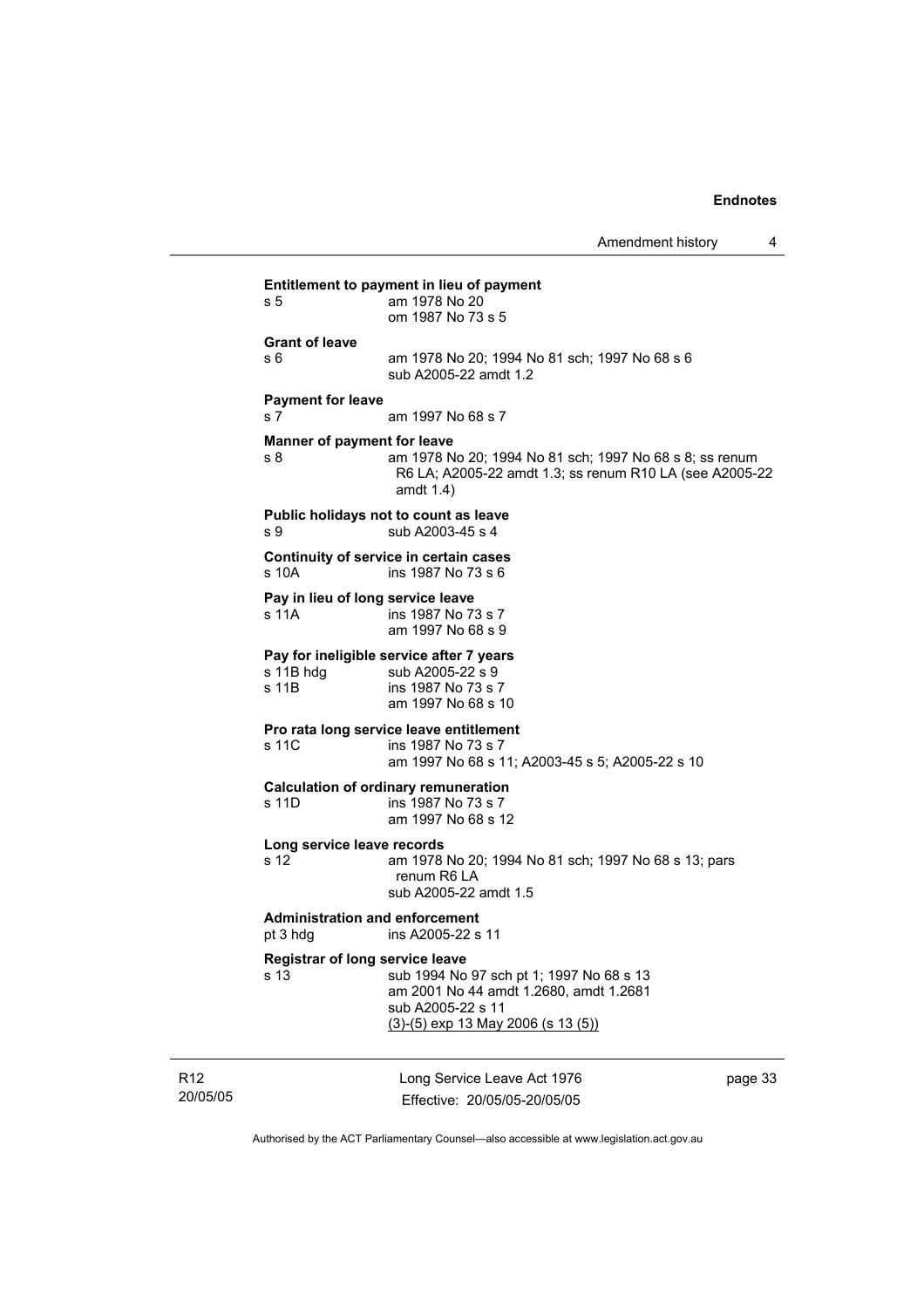Amendment history 4 **Entitlement to payment in lieu of payment**  s 5 am 1978 No 20 om 1987 No 73 s 5 **Grant of leave**  s 6 am 1978 No 20; 1994 No 81 sch; 1997 No 68 s 6 sub A2005-22 amdt 1.2 **Payment for leave**  s 7 am 1997 No 68 s 7 **Manner of payment for leave**  s 8 am 1978 No 20; 1994 No 81 sch; 1997 No 68 s 8; ss renum R6 LA; A2005-22 amdt 1.3; ss renum R10 LA (see A2005-22 amdt 1.4) **Public holidays not to count as leave**  s 9 sub A2003-45 s 4 **Continuity of service in certain cases**  s 10A ins 1987 No 73 s 6 **Pay in lieu of long service leave**  s 11A ins 1987 No 73 s 7 am 1997 No 68 s 9 **Pay for ineligible service after 7 years**  s 11B hdg sub A2005-22 s 9<br>s 11B ins 1987 No 73 s ins 1987 No 73 s 7 am 1997 No 68 s 10 **Pro rata long service leave entitlement**  s 11C ins 1987 No 73 s 7 am 1997 No 68 s 11; A2003-45 s 5; A2005-22 s 10 **Calculation of ordinary remuneration**  s 11D ins 1987 No 73 s 7 am 1997 No 68 s 12 **Long service leave records**  am 1978 No 20; 1994 No 81 sch; 1997 No 68 s 13; pars renum R6 LA sub A2005-22 amdt 1.5 **Administration and enforcement**  pt 3 hdg ins A2005-22 s 11 **Registrar of long service leave**  s 13 sub 1994 No 97 sch pt 1; 1997 No 68 s 13 am 2001 No 44 amdt 1.2680, amdt 1.2681 sub A2005-22 s 11 (3)-(5) exp 13 May 2006 (s 13 (5))

R12 20/05/05 Long Service Leave Act 1976 Effective: 20/05/05-20/05/05

page 33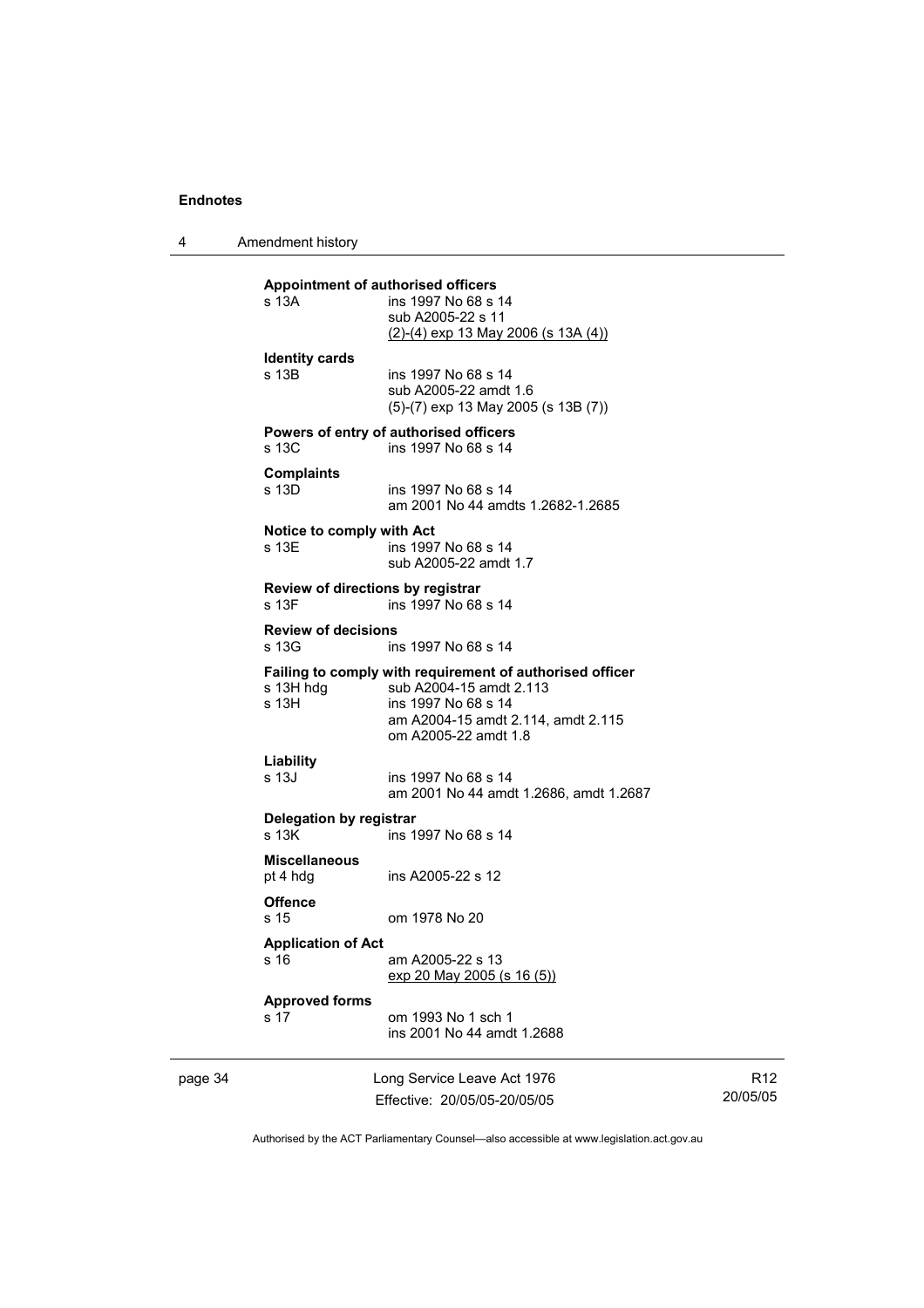4 Amendment history

|         | s 13A                               | Appointment of authorised officers<br>ins 1997 No 68 s 14<br>sub A2005-22 s 11<br>(2)-(4) exp 13 May 2006 (s 13A (4))                                                    |                             |
|---------|-------------------------------------|--------------------------------------------------------------------------------------------------------------------------------------------------------------------------|-----------------------------|
|         | <b>Identity cards</b><br>s 13B      | ins 1997 No 68 s 14<br>sub A2005-22 amdt 1.6<br>$(5)-(7)$ exp 13 May 2005 (s 13B $(7)$ )                                                                                 |                             |
|         | s 13C                               | Powers of entry of authorised officers<br>ins 1997 No 68 s 14                                                                                                            |                             |
|         | <b>Complaints</b><br>s 13D          | ins 1997 No 68 s 14<br>am 2001 No 44 amdts 1.2682-1.2685                                                                                                                 |                             |
|         | Notice to comply with Act<br>s 13E  | ins 1997 No 68 s 14<br>sub A2005-22 amdt 1.7                                                                                                                             |                             |
|         | s 13F                               | Review of directions by registrar<br>ins 1997 No 68 s 14                                                                                                                 |                             |
|         | <b>Review of decisions</b><br>s 13G | ins 1997 No 68 s 14                                                                                                                                                      |                             |
|         | s 13H hdg<br>s 13H                  | Failing to comply with requirement of authorised officer<br>sub A2004-15 amdt 2.113<br>ins 1997 No 68 s 14<br>am A2004-15 amdt 2.114, amdt 2.115<br>om A2005-22 amdt 1.8 |                             |
|         | Liability<br>s 13J                  | ins 1997 No 68 s 14<br>am 2001 No 44 amdt 1.2686, amdt 1.2687                                                                                                            |                             |
|         | Delegation by registrar<br>s 13K    | ins 1997 No 68 s 14                                                                                                                                                      |                             |
|         | <b>Miscellaneous</b><br>pt 4 hdg    | ins A2005-22 s 12                                                                                                                                                        |                             |
|         | <b>Offence</b><br>s 15              | om 1978 No 20                                                                                                                                                            |                             |
|         | <b>Application of Act</b><br>s 16   | am A2005-22 s 13<br>exp 20 May 2005 (s 16 (5))                                                                                                                           |                             |
|         | <b>Approved forms</b><br>s 17       | om 1993 No 1 sch 1<br>ins 2001 No 44 amdt 1.2688                                                                                                                         |                             |
| page 34 |                                     | Long Service Leave Act 1976<br>Effective: 20/05/05-20/05/05                                                                                                              | R <sub>12</sub><br>20/05/05 |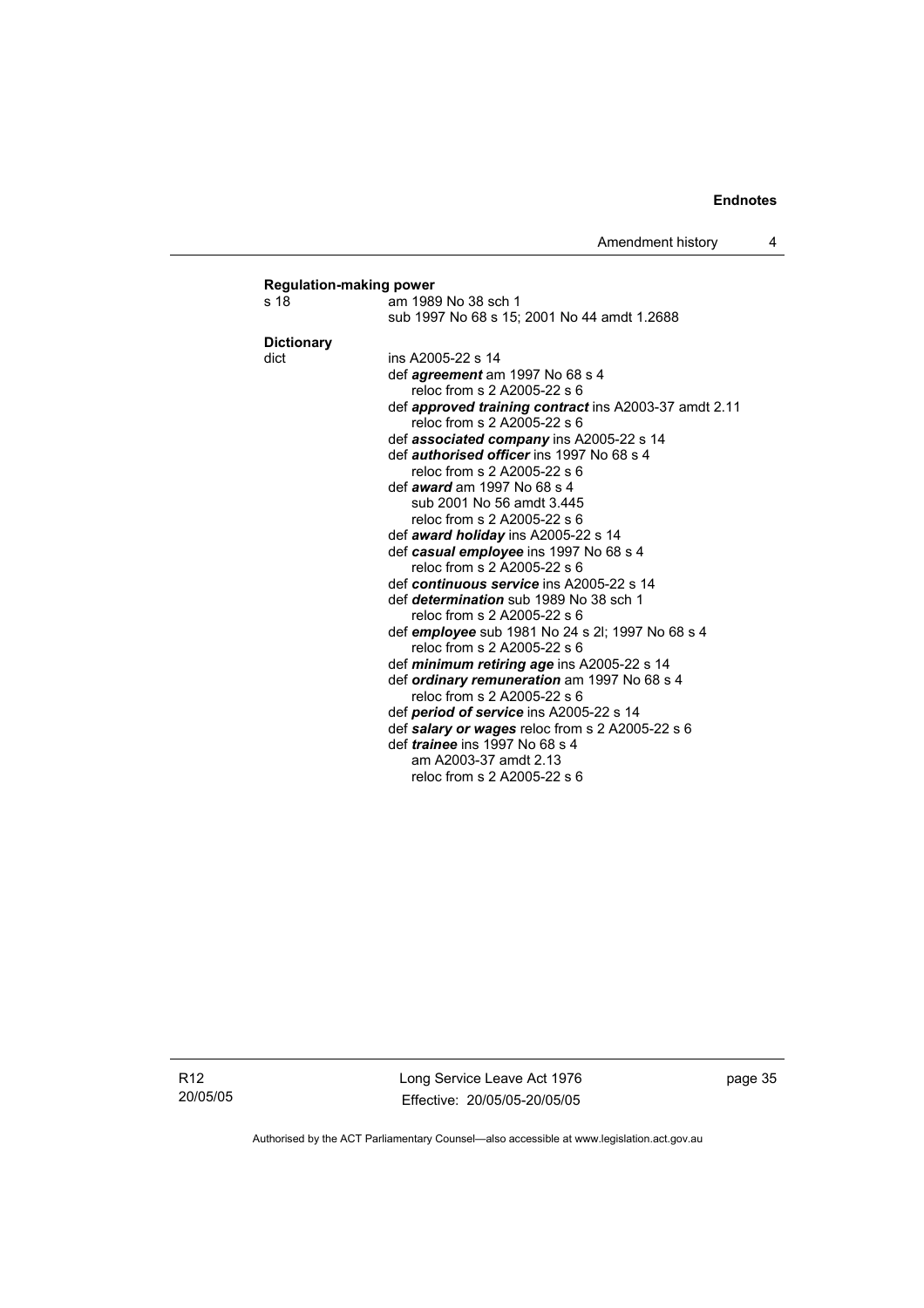| s 18              | am 1989 No 38 sch 1                                                        |
|-------------------|----------------------------------------------------------------------------|
|                   | sub 1997 No 68 s 15; 2001 No 44 amdt 1.2688                                |
| <b>Dictionary</b> |                                                                            |
| dict              | ins A2005-22 s 14                                                          |
|                   | def agreement am 1997 No 68 s 4                                            |
|                   | reloc from s 2 A2005-22 s 6                                                |
|                   | def <b>approved training contract</b> ins A2003-37 amdt 2.11               |
|                   | reloc from s 2 A2005-22 s 6                                                |
|                   | def <b>associated company</b> ins A2005-22 s 14                            |
|                   | def <i>authorised officer</i> ins 1997 No 68 s 4                           |
|                   | reloc from s 2 A2005-22 s 6                                                |
|                   | def <i>award</i> am 1997 No 68 s 4                                         |
|                   | sub 2001 No 56 amdt 3.445                                                  |
|                   | reloc from s 2 A2005-22 s 6                                                |
|                   | def award holiday ins A2005-22 s 14                                        |
|                   | def casual employee ins 1997 No 68 s 4                                     |
|                   | reloc from s 2 A2005-22 s 6                                                |
|                   | def continuous service ins A2005-22 s 14                                   |
|                   | def <i>determination</i> sub 1989 No 38 sch 1                              |
|                   | reloc from s 2 A2005-22 s 6                                                |
|                   | def <i>employee</i> sub 1981 No 24 s 2l; 1997 No 68 s 4                    |
|                   | reloc from s 2 A2005-22 s 6                                                |
|                   | def <i>minimum retiring age</i> ins A2005-22 s 14                          |
|                   | def ordinary remuneration am 1997 No 68 s 4<br>reloc from s 2 A2005-22 s 6 |
|                   | def period of service ins A2005-22 s 14                                    |
|                   | def salary or wages reloc from s 2 A2005-22 s 6                            |
|                   | def <i>trainee</i> ins 1997 No 68 s 4                                      |
|                   | am A2003-37 amdt 2.13                                                      |
|                   | reloc from s 2 A2005-22 s 6                                                |

R12 20/05/05 Long Service Leave Act 1976 Effective: 20/05/05-20/05/05 page 35